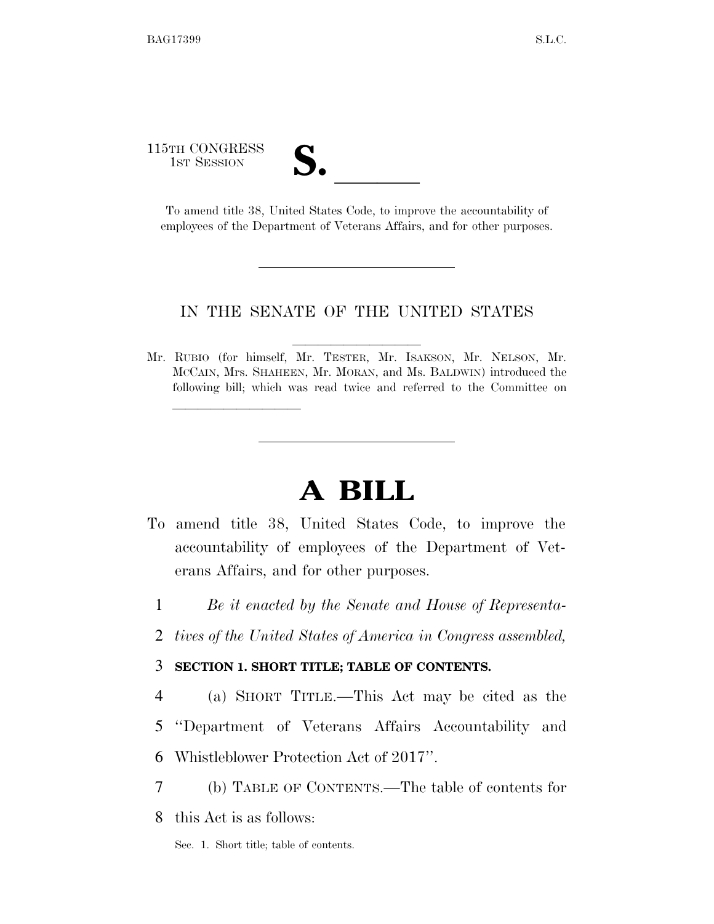115TH CONGRESS TH CONGRESS<br>
1st Session<br>
To amend title 38, United States Code, to improve the accountability of

<u>llille som starte som starte som starte som s</u>

employees of the Department of Veterans Affairs, and for other purposes.

#### IN THE SENATE OF THE UNITED STATES

Mr. RUBIO (for himself, Mr. TESTER, Mr. ISAKSON, Mr. NELSON, Mr. MCCAIN, Mrs. SHAHEEN, Mr. MORAN, and Ms. BALDWIN) introduced the following bill; which was read twice and referred to the Committee on

# **A BILL**

- To amend title 38, United States Code, to improve the accountability of employees of the Department of Veterans Affairs, and for other purposes.
	- 1 *Be it enacted by the Senate and House of Representa-*
	- 2 *tives of the United States of America in Congress assembled,*

#### 3 **SECTION 1. SHORT TITLE; TABLE OF CONTENTS.**

- 4 (a) SHORT TITLE.—This Act may be cited as the
- 5 ''Department of Veterans Affairs Accountability and
- 6 Whistleblower Protection Act of 2017''.
- 7 (b) TABLE OF CONTENTS.—The table of contents for
- 8 this Act is as follows:
	- Sec. 1. Short title; table of contents.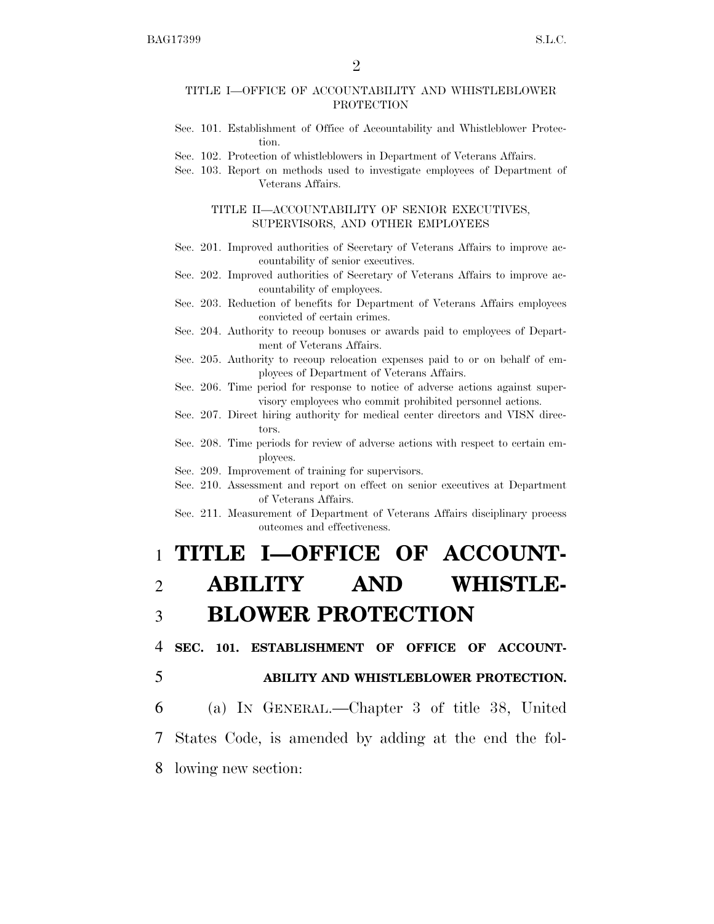#### TITLE I—OFFICE OF ACCOUNTABILITY AND WHISTLEBLOWER PROTECTION

- Sec. 101. Establishment of Office of Accountability and Whistleblower Protection.
- Sec. 102. Protection of whistleblowers in Department of Veterans Affairs.
- Sec. 103. Report on methods used to investigate employees of Department of Veterans Affairs.

#### TITLE II—ACCOUNTABILITY OF SENIOR EXECUTIVES, SUPERVISORS, AND OTHER EMPLOYEES

- Sec. 201. Improved authorities of Secretary of Veterans Affairs to improve accountability of senior executives.
- Sec. 202. Improved authorities of Secretary of Veterans Affairs to improve accountability of employees.
- Sec. 203. Reduction of benefits for Department of Veterans Affairs employees convicted of certain crimes.
- Sec. 204. Authority to recoup bonuses or awards paid to employees of Department of Veterans Affairs.
- Sec. 205. Authority to recoup relocation expenses paid to or on behalf of employees of Department of Veterans Affairs.
- Sec. 206. Time period for response to notice of adverse actions against supervisory employees who commit prohibited personnel actions.
- Sec. 207. Direct hiring authority for medical center directors and VISN directors.
- Sec. 208. Time periods for review of adverse actions with respect to certain employees.
- Sec. 209. Improvement of training for supervisors.
- Sec. 210. Assessment and report on effect on senior executives at Department of Veterans Affairs.
- Sec. 211. Measurement of Department of Veterans Affairs disciplinary process outcomes and effectiveness.

# 1 **TITLE I—OFFICE OF ACCOUNT-**2 **ABILITY AND WHISTLE-**3 **BLOWER PROTECTION**

4 **SEC. 101. ESTABLISHMENT OF OFFICE OF ACCOUNT-**

5 **ABILITY AND WHISTLEBLOWER PROTECTION.**  6 (a) IN GENERAL.—Chapter 3 of title 38, United 7 States Code, is amended by adding at the end the fol-

8 lowing new section: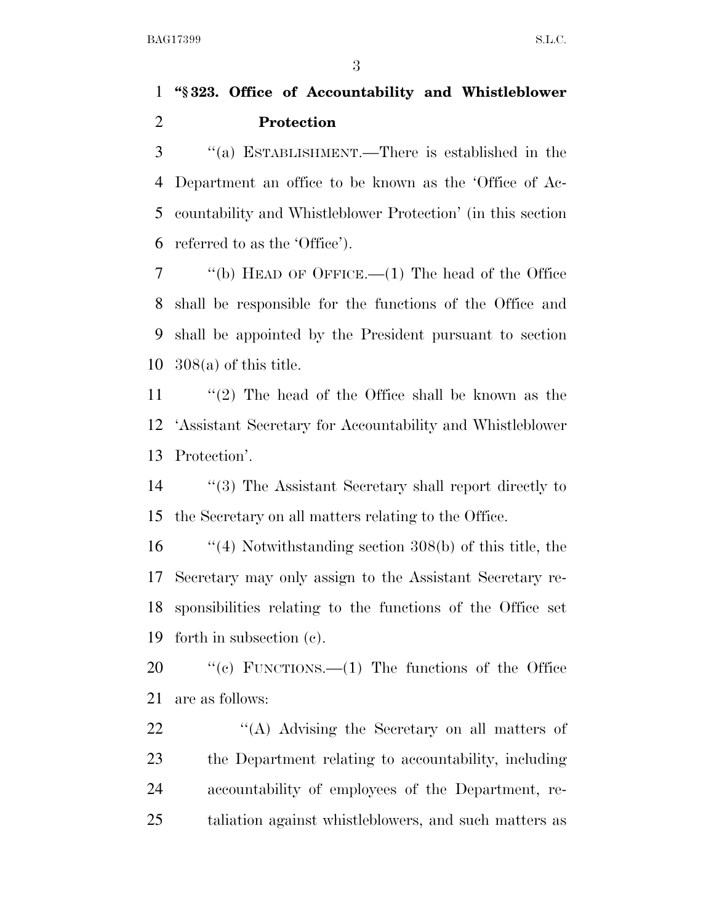## **''§ 323. Office of Accountability and Whistleblower Protection**

 ''(a) ESTABLISHMENT.—There is established in the Department an office to be known as the 'Office of Ac- countability and Whistleblower Protection' (in this section referred to as the 'Office').

 ''(b) HEAD OF OFFICE.—(1) The head of the Office shall be responsible for the functions of the Office and shall be appointed by the President pursuant to section 308(a) of this title.

 ''(2) The head of the Office shall be known as the 'Assistant Secretary for Accountability and Whistleblower Protection'.

 ''(3) The Assistant Secretary shall report directly to the Secretary on all matters relating to the Office.

 ''(4) Notwithstanding section 308(b) of this title, the Secretary may only assign to the Assistant Secretary re- sponsibilities relating to the functions of the Office set forth in subsection (c).

 ''(c) FUNCTIONS.—(1) The functions of the Office are as follows:

22 ''(A) Advising the Secretary on all matters of the Department relating to accountability, including accountability of employees of the Department, re-taliation against whistleblowers, and such matters as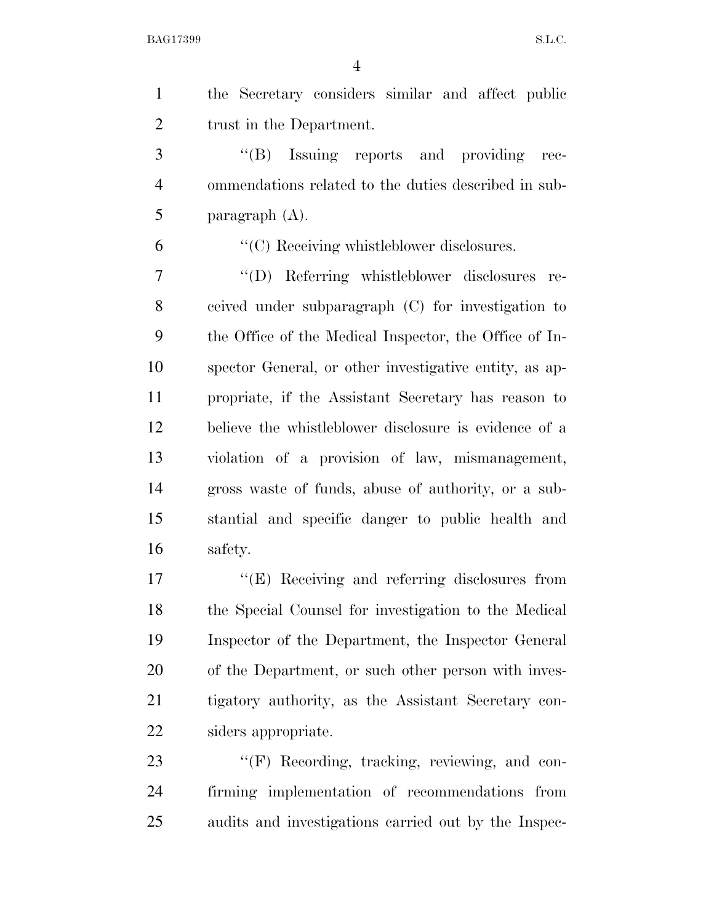| $\mathbf{1}$   | the Secretary considers similar and affect public      |
|----------------|--------------------------------------------------------|
| $\overline{2}$ | trust in the Department.                               |
| 3              | "(B) Issuing reports and providing rec-                |
| $\overline{4}$ | ommendations related to the duties described in sub-   |
| 5              | paragraph $(A)$ .                                      |
| 6              | "(C) Receiving whistleblower disclosures.              |
| $\overline{7}$ | "(D) Referring whistleblower disclosures re-           |
| 8              | ceived under subparagraph (C) for investigation to     |
| 9              | the Office of the Medical Inspector, the Office of In- |
| 10             | spector General, or other investigative entity, as ap- |
| 11             | propriate, if the Assistant Secretary has reason to    |
| 12             | believe the whistleblower disclosure is evidence of a  |
| 13             | violation of a provision of law, mismanagement,        |
| 14             | gross waste of funds, abuse of authority, or a sub-    |
| 15             | stantial and specific danger to public health and      |
| 16             | safety.                                                |
| 17             | $\lq\lq$ (E) Receiving and referring disclosures from  |
| 18             | the Special Counsel for investigation to the Medical   |
| 19             | Inspector of the Department, the Inspector General     |
| 20             | of the Department, or such other person with inves-    |
| 21             | tigatory authority, as the Assistant Secretary con-    |
| 22             | siders appropriate.                                    |
| 23             | $\lq\lq(F)$ Recording, tracking, reviewing, and con-   |
|                |                                                        |

 firming implementation of recommendations from audits and investigations carried out by the Inspec-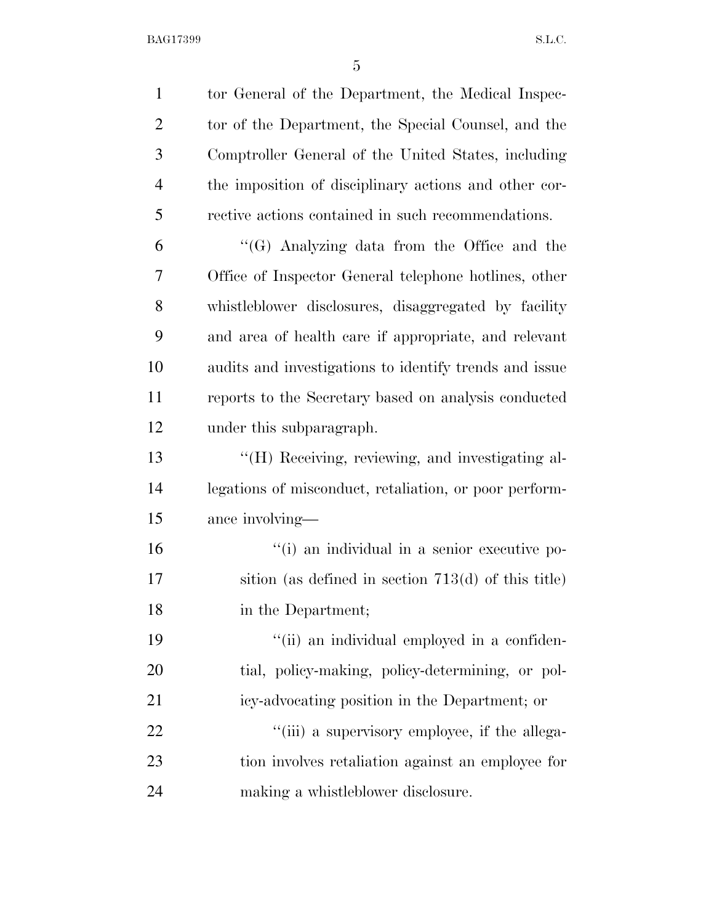| $\mathbf{1}$   | tor General of the Department, the Medical Inspec-     |
|----------------|--------------------------------------------------------|
| $\overline{2}$ | tor of the Department, the Special Counsel, and the    |
| 3              | Comptroller General of the United States, including    |
| $\overline{4}$ | the imposition of disciplinary actions and other cor-  |
| 5              | rective actions contained in such recommendations.     |
| 6              | " $(G)$ Analyzing data from the Office and the         |
| 7              | Office of Inspector General telephone hotlines, other  |
| 8              | whistleblower disclosures, disaggregated by facility   |
| 9              | and area of health care if appropriate, and relevant   |
| 10             | audits and investigations to identify trends and issue |
| 11             | reports to the Secretary based on analysis conducted   |
| 12             | under this subparagraph.                               |
| 13             | "(H) Receiving, reviewing, and investigating al-       |
| 14             | legations of misconduct, retaliation, or poor perform- |
| 15             | ance involving—                                        |
| 16             | "(i) an individual in a senior executive po-           |
| 17             | sition (as defined in section $713(d)$ of this title)  |
| 18             | in the Department;                                     |
| 19             | "(ii) an individual employed in a confiden-            |
| <b>20</b>      | tial, policy-making, policy-determining, or pol-       |
| 21             | icy-advocating position in the Department; or          |
| 22             | "(iii) a supervisory employee, if the allega-          |
| 23             | tion involves retaliation against an employee for      |
| 24             | making a whistleblower disclosure.                     |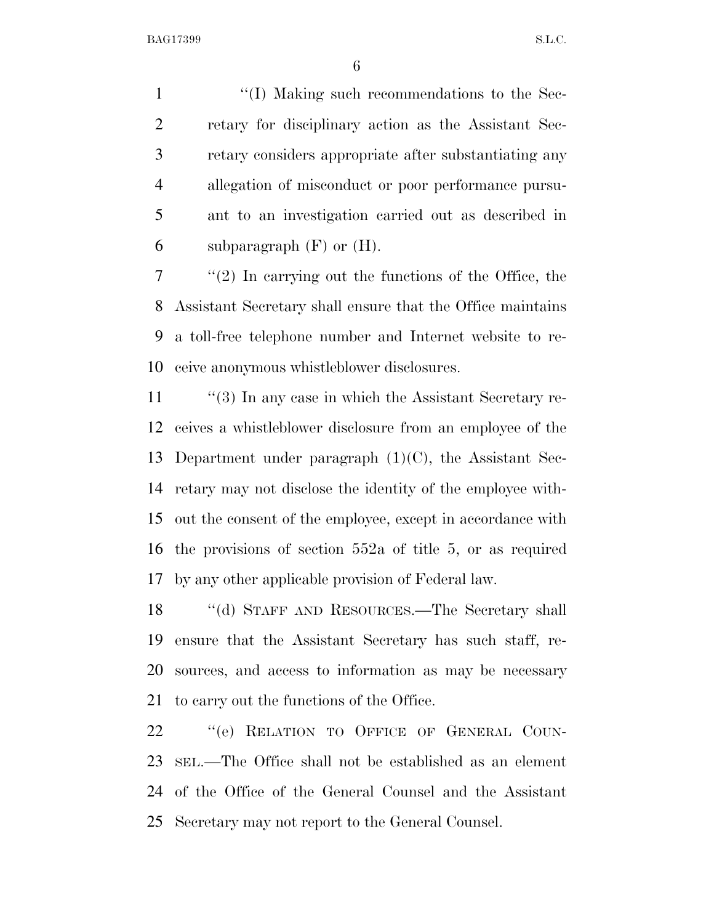$\langle (I)$  Making such recommendations to the Sec- retary for disciplinary action as the Assistant Sec- retary considers appropriate after substantiating any allegation of misconduct or poor performance pursu- ant to an investigation carried out as described in 6 subparagraph  $(F)$  or  $(H)$ .

 ''(2) In carrying out the functions of the Office, the Assistant Secretary shall ensure that the Office maintains a toll-free telephone number and Internet website to re-ceive anonymous whistleblower disclosures.

11 ''(3) In any case in which the Assistant Secretary re- ceives a whistleblower disclosure from an employee of the Department under paragraph (1)(C), the Assistant Sec- retary may not disclose the identity of the employee with- out the consent of the employee, except in accordance with the provisions of section 552a of title 5, or as required by any other applicable provision of Federal law.

 ''(d) STAFF AND RESOURCES.—The Secretary shall ensure that the Assistant Secretary has such staff, re- sources, and access to information as may be necessary to carry out the functions of the Office.

22 "(e) RELATION TO OFFICE OF GENERAL COUN- SEL.—The Office shall not be established as an element of the Office of the General Counsel and the Assistant Secretary may not report to the General Counsel.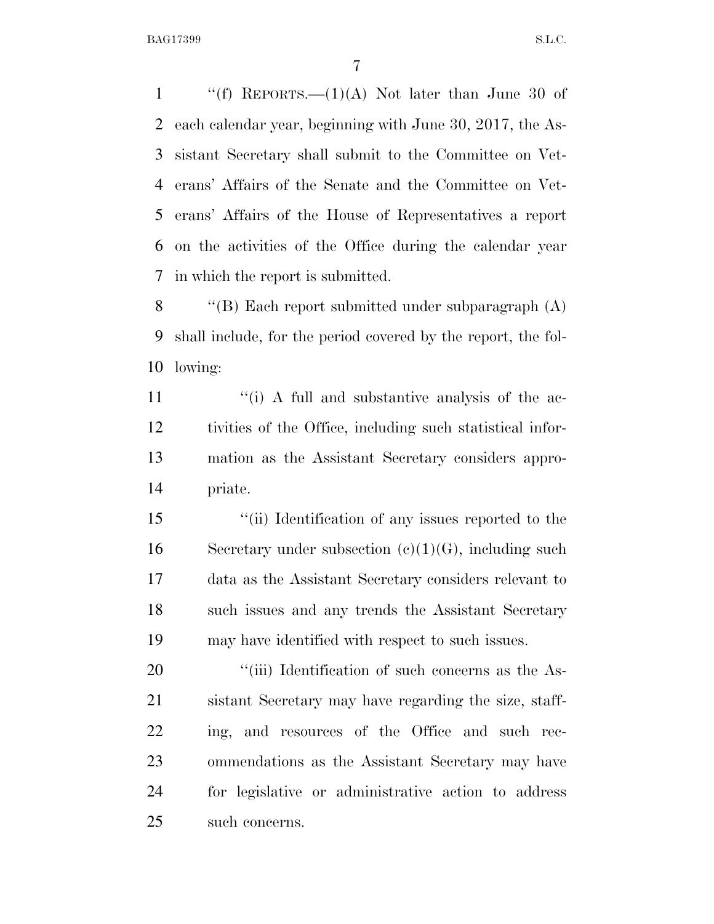$\langle f \rangle$  REPORTS.—(1)(A) Not later than June 30 of each calendar year, beginning with June 30, 2017, the As- sistant Secretary shall submit to the Committee on Vet- erans' Affairs of the Senate and the Committee on Vet- erans' Affairs of the House of Representatives a report on the activities of the Office during the calendar year in which the report is submitted.

 ''(B) Each report submitted under subparagraph (A) shall include, for the period covered by the report, the fol-lowing:

11 ''(i) A full and substantive analysis of the ac- tivities of the Office, including such statistical infor- mation as the Assistant Secretary considers appro-priate.

 ''(ii) Identification of any issues reported to the 16 Secretary under subsection  $(e)(1)(G)$ , including such data as the Assistant Secretary considers relevant to 18 such issues and any trends the Assistant Secretary may have identified with respect to such issues.

 $\frac{1}{20}$  (iii) Identification of such concerns as the As- sistant Secretary may have regarding the size, staff- ing, and resources of the Office and such rec- ommendations as the Assistant Secretary may have for legislative or administrative action to address such concerns.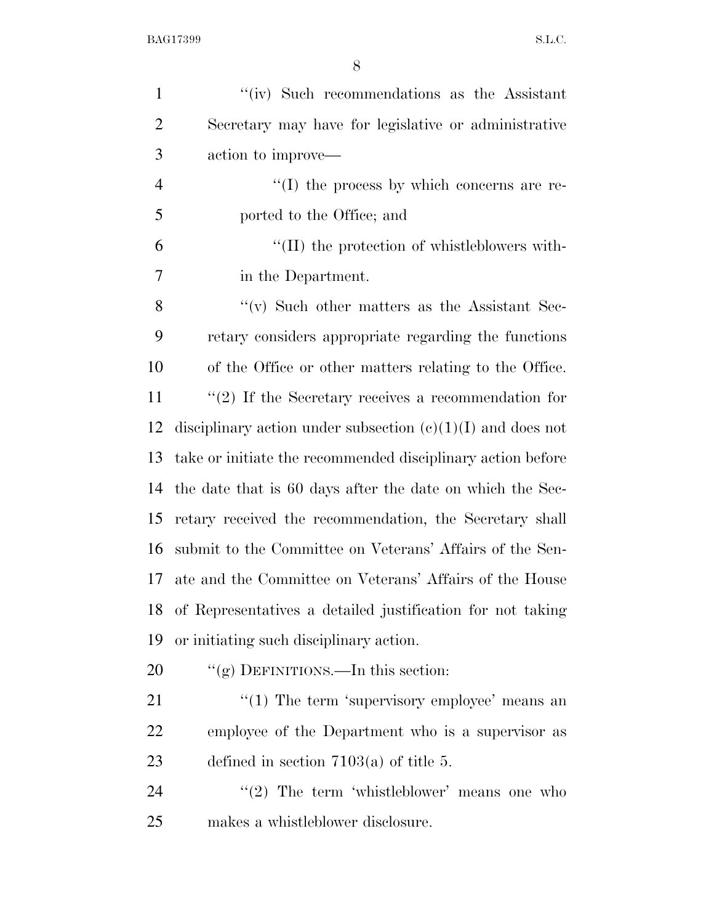| $\mathbf{1}$   | "(iv) Such recommendations as the Assistant                   |
|----------------|---------------------------------------------------------------|
| $\overline{2}$ | Secretary may have for legislative or administrative          |
| 3              | action to improve—                                            |
| $\overline{4}$ | $\lq\lq$ the process by which concerns are re-                |
| 5              | ported to the Office; and                                     |
| 6              | $\lq\lq$ (II) the protection of whistleblowers with-          |
| 7              | in the Department.                                            |
| 8              | $\lq\lq$ Such other matters as the Assistant Sec-             |
| 9              | retary considers appropriate regarding the functions          |
| 10             | of the Office or other matters relating to the Office.        |
| 11             | $\lq(2)$ If the Secretary receives a recommendation for       |
| 12             | disciplinary action under subsection $(e)(1)(I)$ and does not |
| 13             | take or initiate the recommended disciplinary action before   |
| 14             | the date that is 60 days after the date on which the Sec-     |
| 15             | retary received the recommendation, the Secretary shall       |
| 16             | submit to the Committee on Veterans' Affairs of the Sen-      |
| 17             | ate and the Committee on Veterans' Affairs of the House       |
| 18             | of Representatives a detailed justification for not taking    |
| 19             | or initiating such disciplinary action.                       |
| 20             | "(g) DEFINITIONS.—In this section:                            |
| 21             | " $(1)$ The term 'supervisory employee' means an              |
| 22             | employee of the Department who is a supervisor as             |
| 23             | defined in section $7103(a)$ of title 5.                      |
| 24             | " $(2)$ The term 'whistleblower' means one who                |
| 25             | makes a whistleblower disclosure.                             |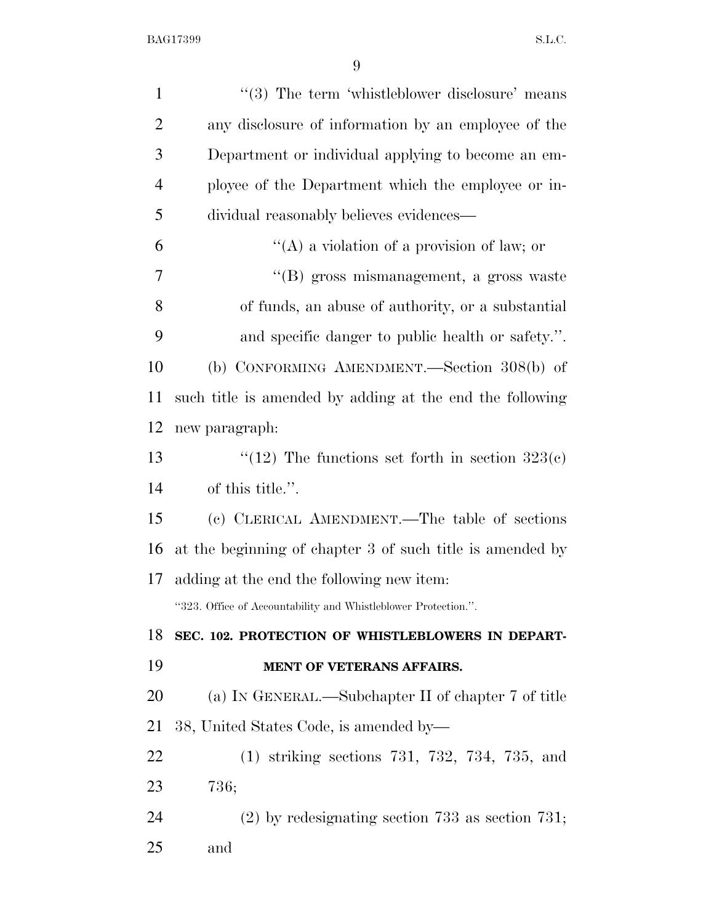| $\mathbf{1}$   | "(3) The term 'whistleblower disclosure' means                 |
|----------------|----------------------------------------------------------------|
| $\overline{2}$ | any disclosure of information by an employee of the            |
| 3              | Department or individual applying to become an em-             |
| $\overline{4}$ | ployee of the Department which the employee or in-             |
| 5              | dividual reasonably believes evidences—                        |
| 6              | "(A) a violation of a provision of law; or                     |
| $\overline{7}$ | "(B) gross mismanagement, a gross waste                        |
| 8              | of funds, an abuse of authority, or a substantial              |
| 9              | and specific danger to public health or safety.".              |
| 10             | (b) CONFORMING AMENDMENT.—Section 308(b) of                    |
| 11             | such title is amended by adding at the end the following       |
| 12             | new paragraph:                                                 |
| 13             | "(12) The functions set forth in section $323(c)$              |
| 14             | of this title.".                                               |
| 15             | (c) CLERICAL AMENDMENT.—The table of sections                  |
| 16             | at the beginning of chapter 3 of such title is amended by      |
| 17             | adding at the end the following new item:                      |
|                | "323. Office of Accountability and Whistleblower Protection.". |
| 18             | SEC. 102. PROTECTION OF WHISTLEBLOWERS IN DEPART-              |
| 19             | MENT OF VETERANS AFFAIRS.                                      |
| 20             | (a) IN GENERAL.—Subchapter II of chapter 7 of title            |
| 21             | 38, United States Code, is amended by—                         |
| 22             | $(1)$ striking sections 731, 732, 734, 735, and                |
|                |                                                                |
| 23             | 736;                                                           |
| 24             | $(2)$ by redesignating section 733 as section 731;             |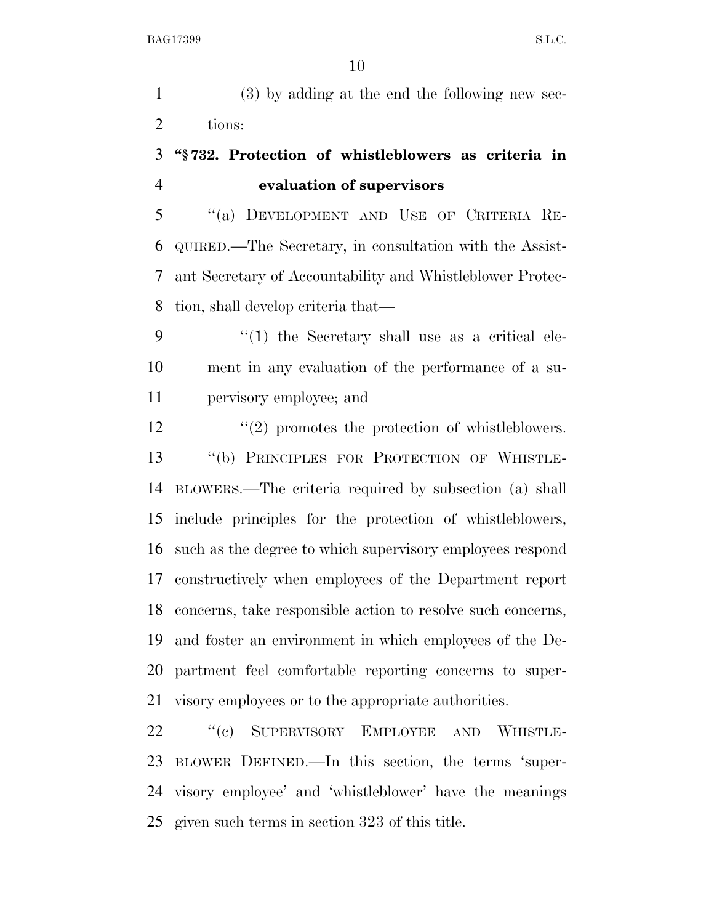(3) by adding at the end the following new sec-tions:

## **''§ 732. Protection of whistleblowers as criteria in evaluation of supervisors**

 ''(a) DEVELOPMENT AND USE OF CRITERIA RE- QUIRED.—The Secretary, in consultation with the Assist- ant Secretary of Accountability and Whistleblower Protec-tion, shall develop criteria that—

 ''(1) the Secretary shall use as a critical ele- ment in any evaluation of the performance of a su-pervisory employee; and

12 ''(2) promotes the protection of whistleblowers. ''(b) PRINCIPLES FOR PROTECTION OF WHISTLE- BLOWERS.—The criteria required by subsection (a) shall include principles for the protection of whistleblowers, such as the degree to which supervisory employees respond constructively when employees of the Department report concerns, take responsible action to resolve such concerns, and foster an environment in which employees of the De- partment feel comfortable reporting concerns to super-visory employees or to the appropriate authorities.

22 "(c) SUPERVISORY EMPLOYEE AND WHISTLE- BLOWER DEFINED.—In this section, the terms 'super- visory employee' and 'whistleblower' have the meanings given such terms in section 323 of this title.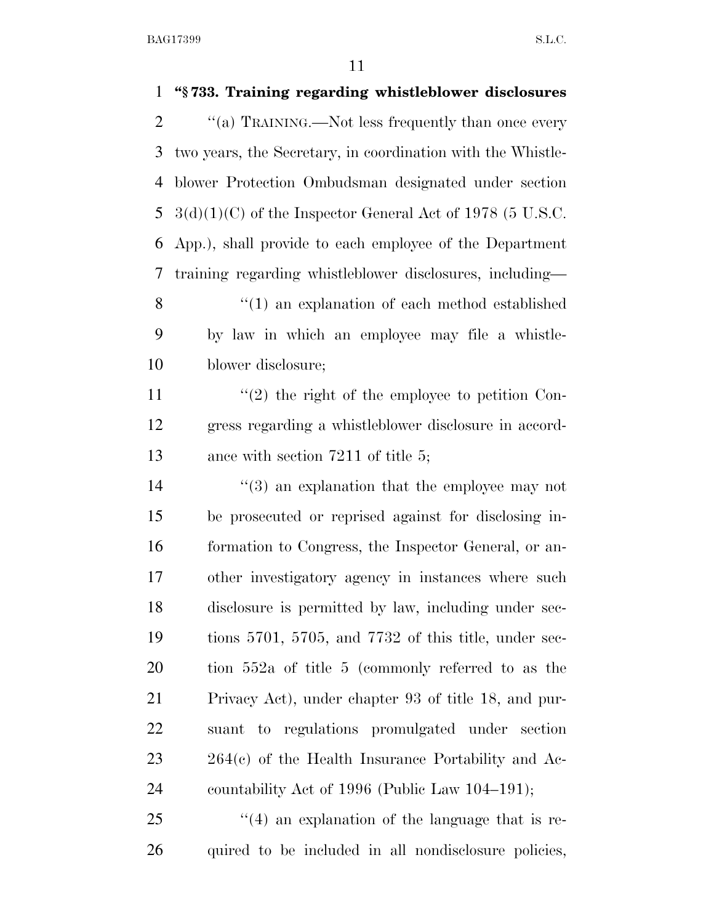| $\mathbf{1}$   | "§733. Training regarding whistleblower disclosures          |
|----------------|--------------------------------------------------------------|
| $\overline{2}$ | "(a) TRAINING.—Not less frequently than once every           |
| 3              | two years, the Secretary, in coordination with the Whistle-  |
| 4              | blower Protection Ombudsman designated under section         |
| 5              | $3(d)(1)(C)$ of the Inspector General Act of 1978 (5 U.S.C.  |
| 6              | App.), shall provide to each employee of the Department      |
| 7              | training regarding whistleblower disclosures, including—     |
| 8              | $"(1)$ an explanation of each method established             |
| 9              | by law in which an employee may file a whistle-              |
| 10             | blower disclosure;                                           |
| 11             | $\lq(2)$ the right of the employee to petition Con-          |
| 12             | gress regarding a whistleblower disclosure in accord-        |
| 13             | ance with section $7211$ of title 5;                         |
| 14             | $(3)$ an explanation that the employee may not               |
| 15             | be prosecuted or reprised against for disclosing in-         |
| 16             | formation to Congress, the Inspector General, or an-         |
| 17             | other investigatory agency in instances where such           |
| 18             | disclosure is permitted by law, including under sec-         |
| 19             | tions $5701$ , $5705$ , and $7732$ of this title, under sec- |
| 20             | tion 552a of title 5 (commonly referred to as the            |
| 21             | Privacy Act), under chapter 93 of title 18, and pur-         |
| 22             | suant to regulations promulgated under section               |
| 23             | $264(c)$ of the Health Insurance Portability and Ac-         |
| 24             | countability Act of 1996 (Public Law 104–191);               |
| 25             | $\cdot$ (4) an explanation of the language that is re-       |
| 26             | quired to be included in all nondisclosure policies,         |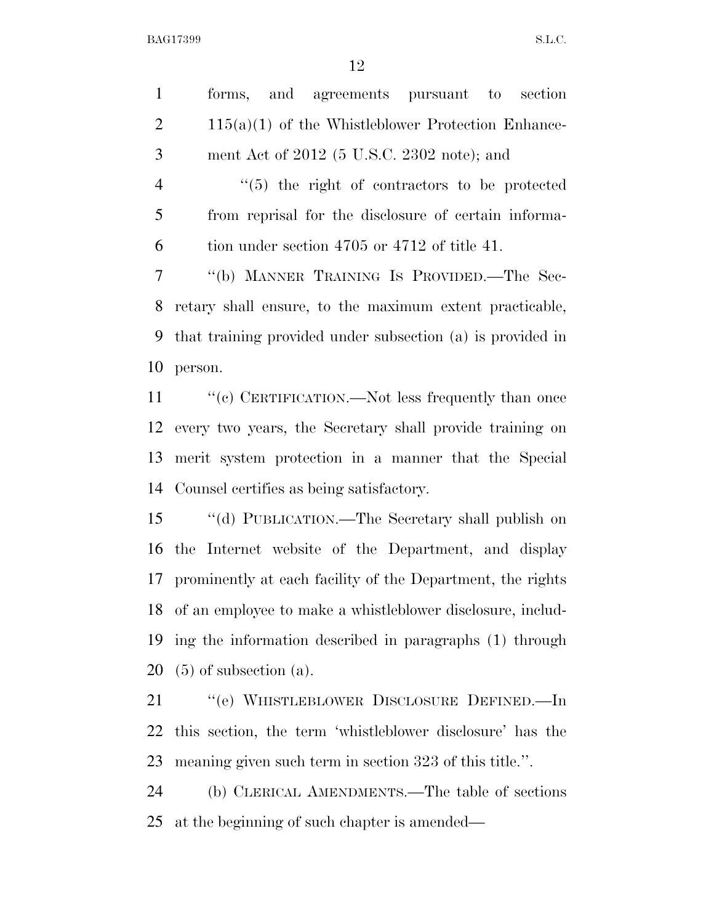| $\mathbf{1}$   | forms, and agreements pursuant to<br>section                  |
|----------------|---------------------------------------------------------------|
| $\overline{2}$ | $115(a)(1)$ of the Whistleblower Protection Enhance-          |
| 3              | ment Act of $2012$ (5 U.S.C. 2302 note); and                  |
| $\overline{4}$ | $\lq(5)$ the right of contractors to be protected             |
| 5              | from reprisal for the disclosure of certain informa-          |
| 6              | tion under section 4705 or 4712 of title 41.                  |
| 7              | "(b) MANNER TRAINING IS PROVIDED.—The Sec-                    |
| 8              | retary shall ensure, to the maximum extent practicable,       |
| 9              | that training provided under subsection (a) is provided in    |
| 10             | person.                                                       |
| 11             | "(c) CERTIFICATION.—Not less frequently than once             |
| 12             | every two years, the Secretary shall provide training on      |
| 13             | merit system protection in a manner that the Special          |
| 14             | Counsel certifies as being satisfactory.                      |
| 15             | "(d) PUBLICATION.—The Secretary shall publish on              |
| 16             | the Internet website of the Department, and display           |
|                | 17 prominently at each facility of the Department, the rights |
|                | 18 of an employee to make a whistleblower disclosure, includ- |
| 19             | ing the information described in paragraphs (1) through       |
| 20             | $(5)$ of subsection $(a)$ .                                   |
| 21             | "(e) WHISTLEBLOWER DISCLOSURE DEFINED.—In                     |
| 22             | this section, the term 'whistleblower disclosure' has the     |
| 23             | meaning given such term in section 323 of this title.".       |
| 24             | (b) CLERICAL AMENDMENTS.—The table of sections                |
| 25             | at the beginning of such chapter is amended—                  |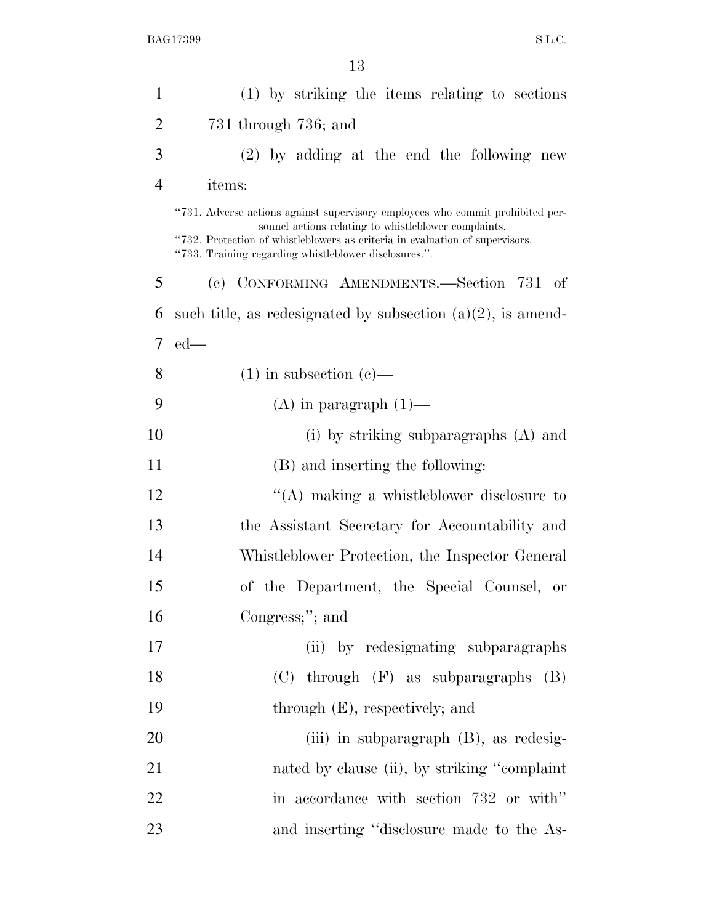| $\mathbf{1}$   | (1) by striking the items relating to sections                                                                                                                                                                                                                                  |
|----------------|---------------------------------------------------------------------------------------------------------------------------------------------------------------------------------------------------------------------------------------------------------------------------------|
| $\overline{2}$ | 731 through 736; and                                                                                                                                                                                                                                                            |
| 3              | $(2)$ by adding at the end the following new                                                                                                                                                                                                                                    |
| $\overline{4}$ | items:                                                                                                                                                                                                                                                                          |
|                | "731. Adverse actions against supervisory employees who commit prohibited per-<br>sonnel actions relating to whistleblower complaints.<br>"732. Protection of whistleblowers as criteria in evaluation of supervisors.<br>"733. Training regarding whistleblower disclosures.". |
| 5              | (c) CONFORMING AMENDMENTS.—Section 731 of                                                                                                                                                                                                                                       |
| 6              | such title, as redesignated by subsection $(a)(2)$ , is amend-                                                                                                                                                                                                                  |
| 7              | $ed$ —                                                                                                                                                                                                                                                                          |
| 8              | $(1)$ in subsection $(e)$ —                                                                                                                                                                                                                                                     |
| 9              | $(A)$ in paragraph $(1)$ —                                                                                                                                                                                                                                                      |
| 10             | (i) by striking subparagraphs $(A)$ and                                                                                                                                                                                                                                         |
| 11             | (B) and inserting the following:                                                                                                                                                                                                                                                |
| 12             | $\lq\lq$ making a whistleblower disclosure to                                                                                                                                                                                                                                   |
| 13             | the Assistant Secretary for Accountability and                                                                                                                                                                                                                                  |
| 14             | Whistleblower Protection, the Inspector General                                                                                                                                                                                                                                 |
| 15             | of the Department, the Special Counsel, or                                                                                                                                                                                                                                      |
| 16             | Congress;"; and                                                                                                                                                                                                                                                                 |
| 17             | (ii) by redesignating subparagraphs                                                                                                                                                                                                                                             |
| 18             | $(C)$ through $(F)$ as subparagraphs<br>(B)                                                                                                                                                                                                                                     |
| 19             | through $(E)$ , respectively; and                                                                                                                                                                                                                                               |
| 20             | (iii) in subparagraph (B), as redesig-                                                                                                                                                                                                                                          |
| 21             | nated by clause (ii), by striking "complaint"                                                                                                                                                                                                                                   |
| 22             | in accordance with section 732 or with"                                                                                                                                                                                                                                         |
| 23             | and inserting "disclosure made to the As-                                                                                                                                                                                                                                       |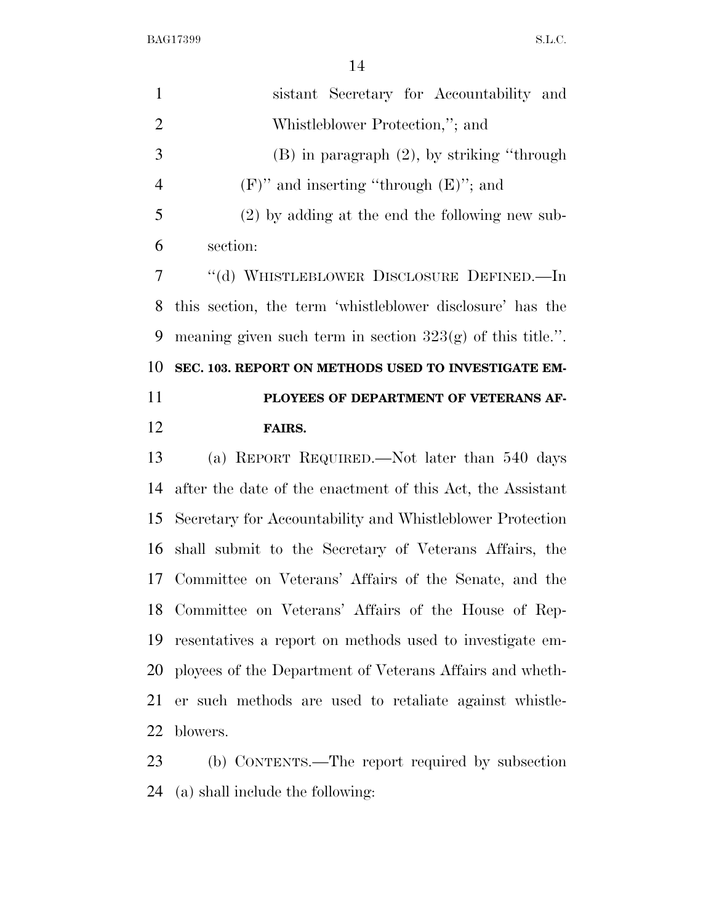|                | 14                                                           |
|----------------|--------------------------------------------------------------|
| $\mathbf{1}$   | sistant Secretary for Accountability and                     |
| $\overline{2}$ | Whistleblower Protection,"; and                              |
| $\mathfrak{Z}$ | $(B)$ in paragraph $(2)$ , by striking "through              |
| $\overline{4}$ | $(F)$ " and inserting "through $(E)$ "; and                  |
| 5              | $(2)$ by adding at the end the following new sub-            |
| 6              | section:                                                     |
| 7              | "(d) WHISTLEBLOWER DISCLOSURE DEFINED.—In                    |
| 8              | this section, the term 'whistleblower disclosure' has the    |
| 9              | meaning given such term in section $323(g)$ of this title.". |
| 10             | SEC. 103. REPORT ON METHODS USED TO INVESTIGATE EM-          |
|                |                                                              |
| 11             | PLOYEES OF DEPARTMENT OF VETERANS AF-                        |
| 12             | <b>FAIRS.</b>                                                |
| 13             | (a) REPORT REQUIRED.—Not later than 540 days                 |
| 14             | after the date of the enactment of this Act, the Assistant   |
| 15             | Secretary for Accountability and Whistleblower Protection    |
| 16             | shall submit to the Secretary of Veterans Affairs, the       |
|                | 17 Committee on Veterans' Affairs of the Senate, and the     |
| 18             | Committee on Veterans' Affairs of the House of Rep-          |
| 19             | resentatives a report on methods used to investigate em-     |
| 20             | ployees of the Department of Veterans Affairs and wheth-     |
| 21             | er such methods are used to retaliate against whistle-       |
| 22             | blowers.                                                     |

(a) shall include the following: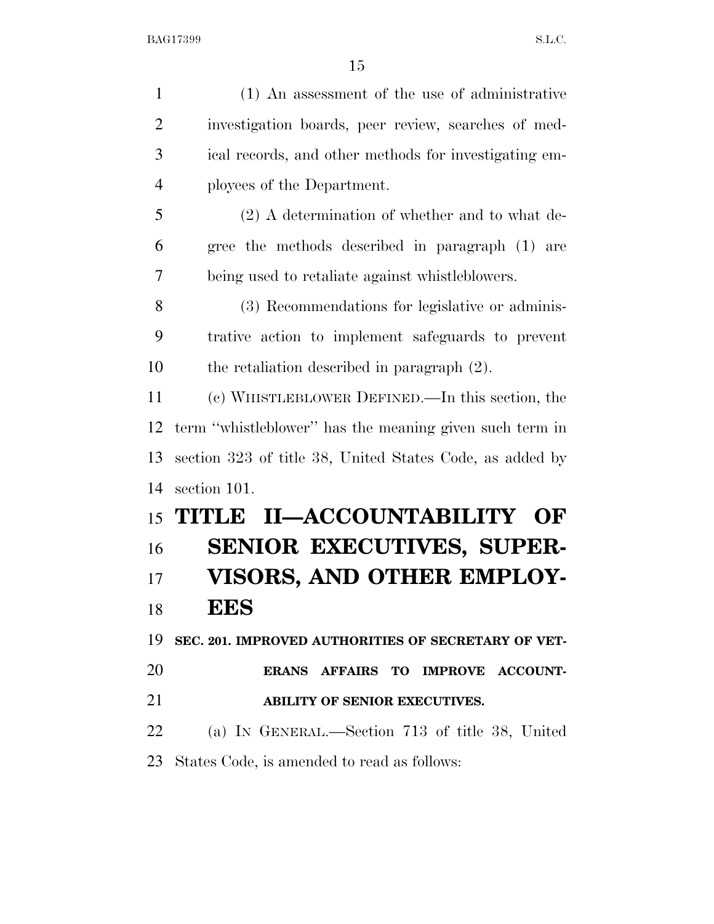| $\mathbf{1}$   | (1) An assessment of the use of administrative           |
|----------------|----------------------------------------------------------|
| $\overline{2}$ | investigation boards, peer review, searches of med-      |
| 3              | ical records, and other methods for investigating em-    |
| $\overline{4}$ | ployees of the Department.                               |
| 5              | $(2)$ A determination of whether and to what de-         |
| 6              | gree the methods described in paragraph (1) are          |
| 7              | being used to retaliate against whistleblowers.          |
| 8              | (3) Recommendations for legislative or adminis-          |
| 9              | trative action to implement safeguards to prevent        |
| 10             | the retaliation described in paragraph $(2)$ .           |
| 11             | (c) WHISTLEBLOWER DEFINED.—In this section, the          |
| 12             | term "whistleblower" has the meaning given such term in  |
| 13             | section 323 of title 38, United States Code, as added by |
| 14             | section 101.                                             |
| 15             | TITLE II-ACCOUNTABILITY OF                               |
| 16             | <b>SENIOR EXECUTIVES, SUPER-</b>                         |
| 17             | VISORS, AND OTHER EMPLOY-                                |
| 18             | EES                                                      |
| 19             | SEC. 201. IMPROVED AUTHORITIES OF SECRETARY OF VET-      |
| 20             | ERANS AFFAIRS TO IMPROVE ACCOUNT-                        |
| 21             | ABILITY OF SENIOR EXECUTIVES.                            |
| 22             | (a) IN GENERAL.—Section 713 of title 38, United          |
| 23             | States Code, is amended to read as follows:              |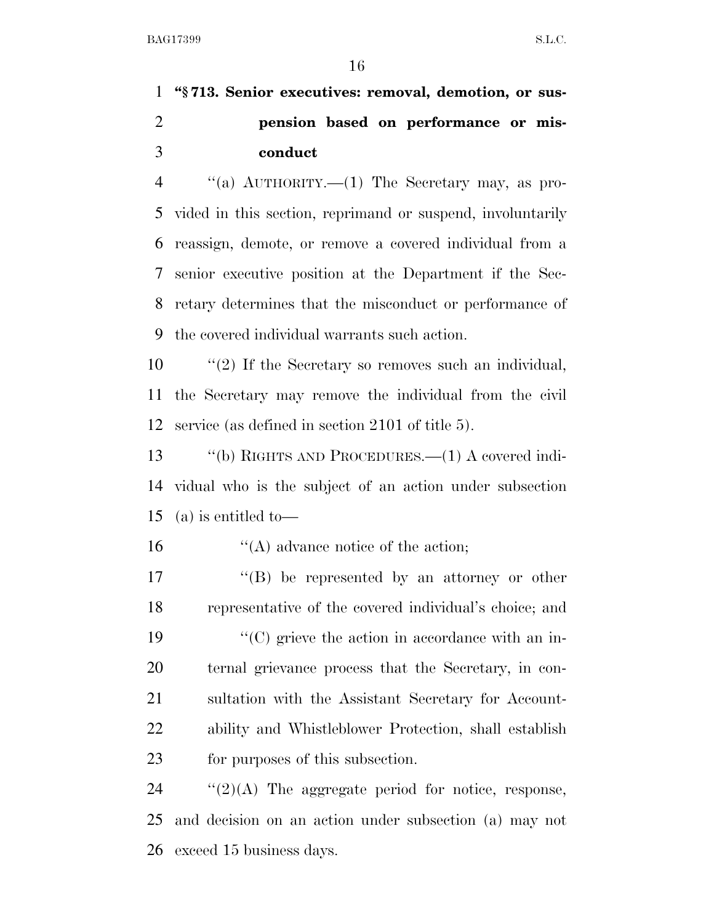**''§ 713. Senior executives: removal, demotion, or sus- pension based on performance or mis-conduct** 

 ''(a) AUTHORITY.—(1) The Secretary may, as pro- vided in this section, reprimand or suspend, involuntarily reassign, demote, or remove a covered individual from a senior executive position at the Department if the Sec- retary determines that the misconduct or performance of the covered individual warrants such action.

 ''(2) If the Secretary so removes such an individual, the Secretary may remove the individual from the civil service (as defined in section 2101 of title 5).

 ''(b) RIGHTS AND PROCEDURES.—(1) A covered indi- vidual who is the subject of an action under subsection (a) is entitled to—

16  $\frac{16}{2}$  (A) advance notice of the action;

 $\langle G \rangle$  be represented by an attorney or other representative of the covered individual's choice; and  $\langle ^{\prime}(C) \rangle$  grieve the action in accordance with an in- ternal grievance process that the Secretary, in con- sultation with the Assistant Secretary for Account- ability and Whistleblower Protection, shall establish for purposes of this subsection.

24  $\frac{1}{2}(2)(A)$  The aggregate period for notice, response, and decision on an action under subsection (a) may not exceed 15 business days.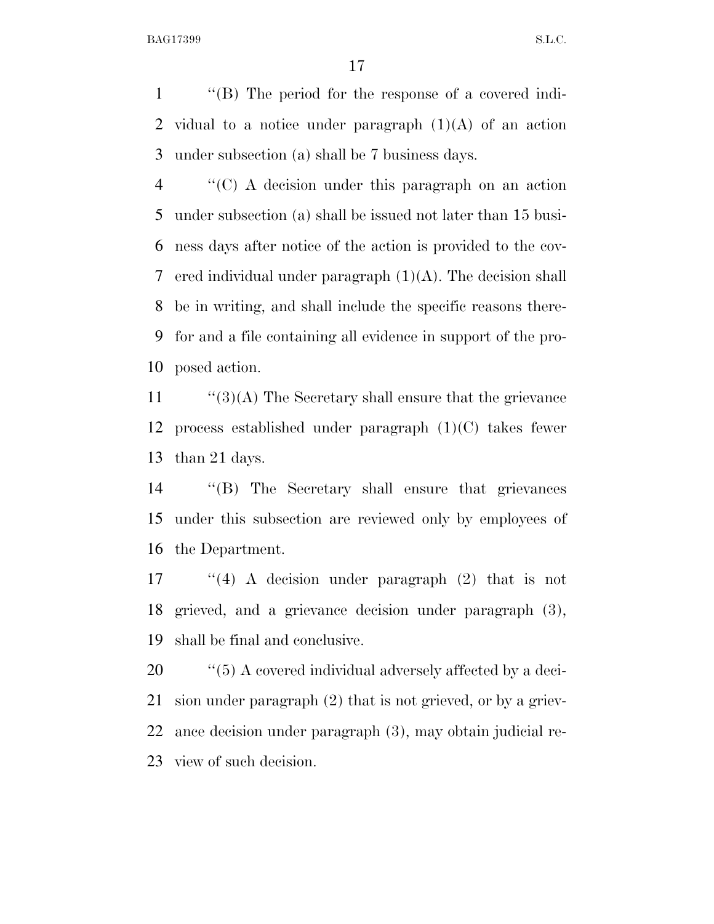''(B) The period for the response of a covered indi- vidual to a notice under paragraph (1)(A) of an action under subsection (a) shall be 7 business days.

 ''(C) A decision under this paragraph on an action under subsection (a) shall be issued not later than 15 busi- ness days after notice of the action is provided to the cov- ered individual under paragraph (1)(A). The decision shall be in writing, and shall include the specific reasons there- for and a file containing all evidence in support of the pro-posed action.

11  $\frac{1}{3}(3)$  The Secretary shall ensure that the grievance process established under paragraph (1)(C) takes fewer than 21 days.

 ''(B) The Secretary shall ensure that grievances under this subsection are reviewed only by employees of the Department.

 ''(4) A decision under paragraph (2) that is not grieved, and a grievance decision under paragraph (3), shall be final and conclusive.

 $\frac{1}{20}$  (5) A covered individual adversely affected by a deci- sion under paragraph (2) that is not grieved, or by a griev- ance decision under paragraph (3), may obtain judicial re-view of such decision.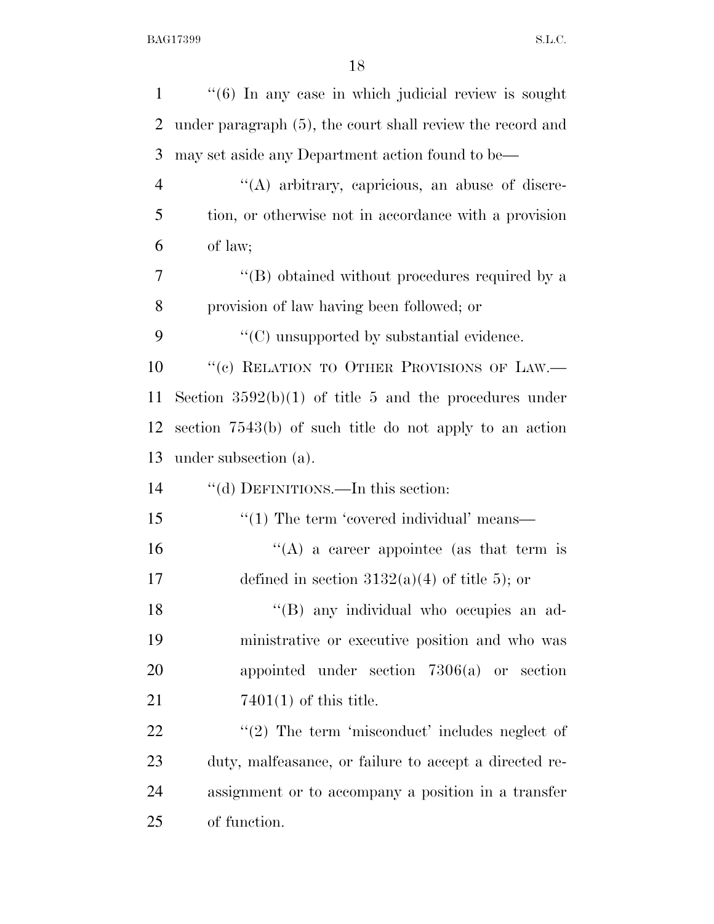| $\mathbf{1}$   | $\cdot\cdot\cdot(6)$ In any case in which judicial review is sought |
|----------------|---------------------------------------------------------------------|
| $\overline{2}$ | under paragraph (5), the court shall review the record and          |
| 3              | may set aside any Department action found to be—                    |
| $\overline{4}$ | "(A) arbitrary, capricious, an abuse of discre-                     |
| 5              | tion, or otherwise not in accordance with a provision               |
| 6              | of law;                                                             |
| 7              | "(B) obtained without procedures required by a                      |
| 8              | provision of law having been followed; or                           |
| 9              | $\lq\lq$ (C) unsupported by substantial evidence.                   |
| 10             | "(c) RELATION TO OTHER PROVISIONS OF LAW.-                          |
| 11             | Section $3592(b)(1)$ of title 5 and the procedures under            |
| 12             | section 7543(b) of such title do not apply to an action             |
| 13             | under subsection (a).                                               |
| 14             | "(d) DEFINITIONS.—In this section:                                  |
| 15             | $\cdot\cdot\cdot(1)$ The term 'covered individual' means—           |
| 16             | "(A) a career appointee (as that term is                            |
| 17             | defined in section $3132(a)(4)$ of title 5); or                     |
| 18             | "(B) any individual who occupies an ad-                             |
| 19             | ministrative or executive position and who was                      |
| 20             | appointed under section $7306(a)$ or section                        |
| 21             | $7401(1)$ of this title.                                            |
| 22             | $\lq(2)$ The term 'misconduct' includes neglect of                  |
| 23             | duty, malfeasance, or failure to accept a directed re-              |
| 24             | assignment or to accompany a position in a transfer                 |
| 25             | of function.                                                        |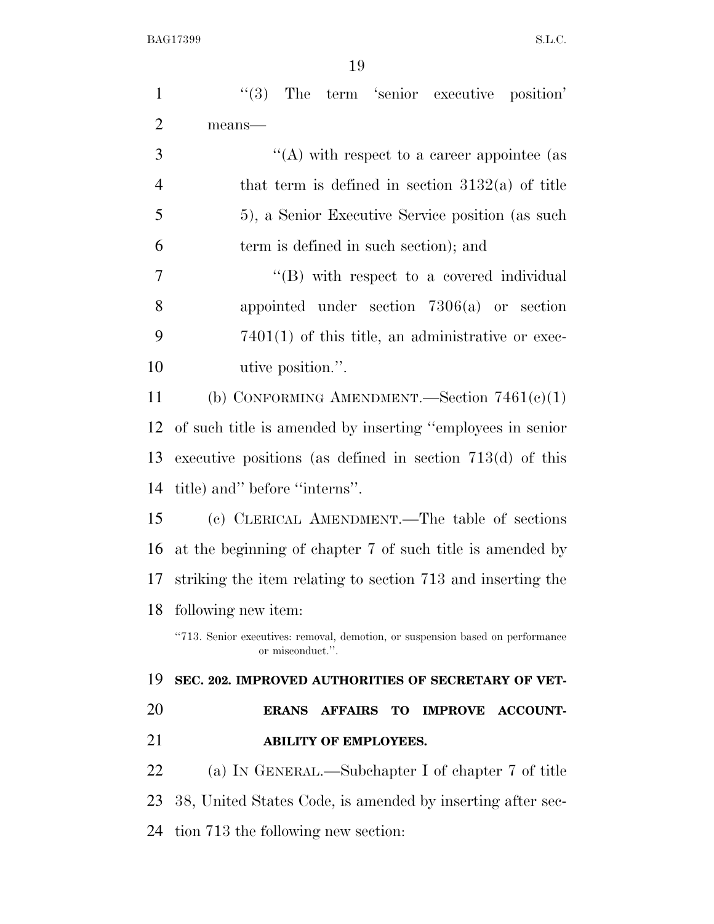| $\mathbf{1}$   | (3)<br>The term 'senior executive position'                                                        |
|----------------|----------------------------------------------------------------------------------------------------|
| $\overline{2}$ | means-                                                                                             |
| 3              | "(A) with respect to a career appointee (as                                                        |
| $\overline{4}$ | that term is defined in section $3132(a)$ of title                                                 |
| 5              | 5), a Senior Executive Service position (as such                                                   |
| 6              | term is defined in such section); and                                                              |
| $\overline{7}$ | $\lq\lq$ with respect to a covered individual                                                      |
| 8              | appointed under section $7306(a)$ or section                                                       |
| 9              | $7401(1)$ of this title, an administrative or exec-                                                |
| 10             | utive position.".                                                                                  |
| 11             | (b) CONFORMING AMENDMENT.—Section $7461(e)(1)$                                                     |
| 12             | of such title is amended by inserting "employees in senior                                         |
| 13             | executive positions (as defined in section $713(d)$ of this                                        |
| 14             | title) and" before "interns".                                                                      |
| 15             | (c) CLERICAL AMENDMENT.—The table of sections                                                      |
| 16             | at the beginning of chapter 7 of such title is amended by                                          |
| 17             | striking the item relating to section 713 and inserting the                                        |
| 18             | following new item:                                                                                |
|                | "713. Senior executives: removal, demotion, or suspension based on performance<br>or misconduct.". |
| 19             | SEC. 202. IMPROVED AUTHORITIES OF SECRETARY OF VET-                                                |
| 20             | <b>ERANS</b><br><b>AFFAIRS TO</b><br><b>IMPROVE</b><br><b>ACCOUNT-</b>                             |
| 21             | <b>ABILITY OF EMPLOYEES.</b>                                                                       |
| 22             | (a) IN GENERAL.—Subchapter I of chapter 7 of title                                                 |
| 23             | 38, United States Code, is amended by inserting after sec-                                         |
| 24             | tion 713 the following new section:                                                                |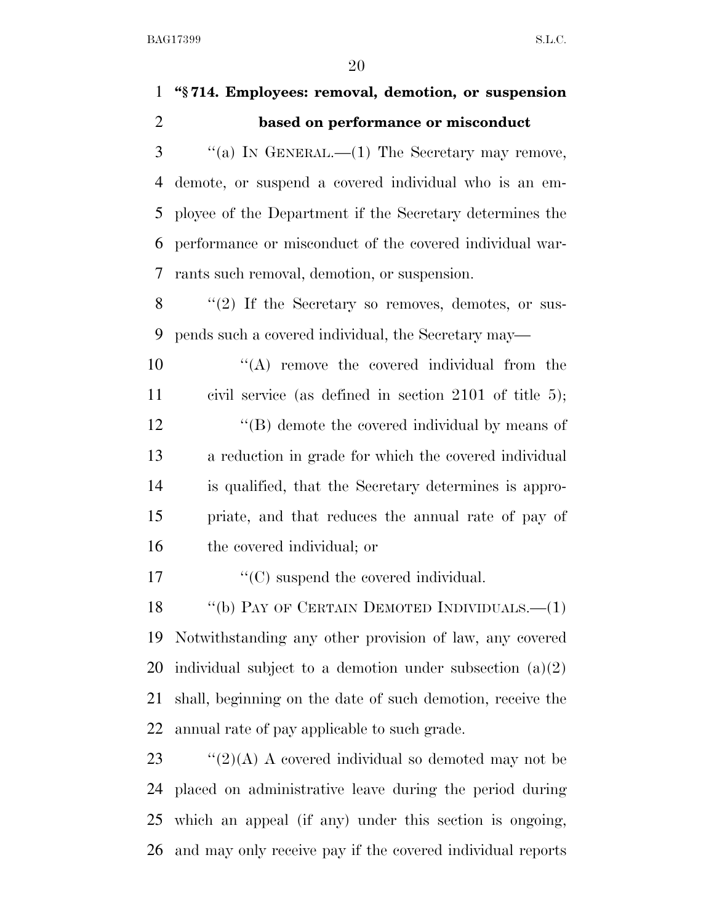## **''§ 714. Employees: removal, demotion, or suspension based on performance or misconduct**

 "(a) IN GENERAL.—(1) The Secretary may remove, demote, or suspend a covered individual who is an em- ployee of the Department if the Secretary determines the performance or misconduct of the covered individual war-rants such removal, demotion, or suspension.

 ''(2) If the Secretary so removes, demotes, or sus-pends such a covered individual, the Secretary may—

 $\langle (A) \rangle$  remove the covered individual from the civil service (as defined in section 2101 of title 5); 12 ''(B) demote the covered individual by means of a reduction in grade for which the covered individual is qualified, that the Secretary determines is appro- priate, and that reduces the annual rate of pay of the covered individual; or

17  $\lq\lq\lq\lq\lq\lq\lq\lq\lq\lq\lq\lq$  (C) suspend the covered individual.

18 "(b) PAY OF CERTAIN DEMOTED INDIVIDUALS.—(1) Notwithstanding any other provision of law, any covered individual subject to a demotion under subsection (a)(2) shall, beginning on the date of such demotion, receive the annual rate of pay applicable to such grade.

 $\frac{1}{2}(2)(A)$  A covered individual so demoted may not be placed on administrative leave during the period during which an appeal (if any) under this section is ongoing, and may only receive pay if the covered individual reports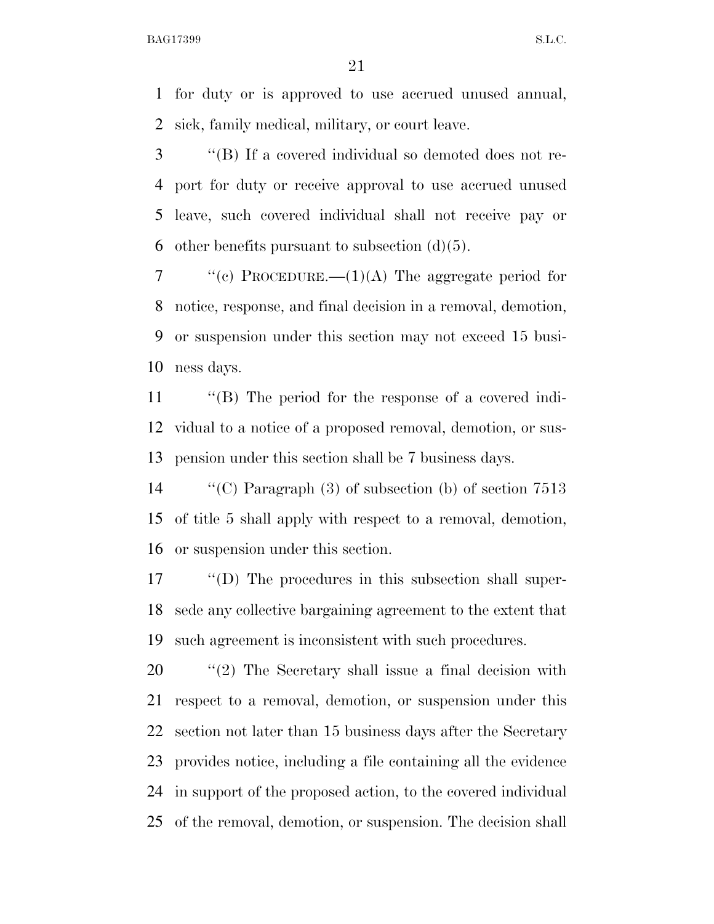for duty or is approved to use accrued unused annual, sick, family medical, military, or court leave.

 ''(B) If a covered individual so demoted does not re- port for duty or receive approval to use accrued unused leave, such covered individual shall not receive pay or 6 other benefits pursuant to subsection  $(d)(5)$ .

 $\langle \langle e \rangle$  PROCEDURE.—(1)(A) The aggregate period for notice, response, and final decision in a removal, demotion, or suspension under this section may not exceed 15 busi-ness days.

 ''(B) The period for the response of a covered indi- vidual to a notice of a proposed removal, demotion, or sus-pension under this section shall be 7 business days.

 ''(C) Paragraph (3) of subsection (b) of section 7513 of title 5 shall apply with respect to a removal, demotion, or suspension under this section.

 ''(D) The procedures in this subsection shall super- sede any collective bargaining agreement to the extent that such agreement is inconsistent with such procedures.

 $\frac{1}{2}$  The Secretary shall issue a final decision with respect to a removal, demotion, or suspension under this section not later than 15 business days after the Secretary provides notice, including a file containing all the evidence in support of the proposed action, to the covered individual of the removal, demotion, or suspension. The decision shall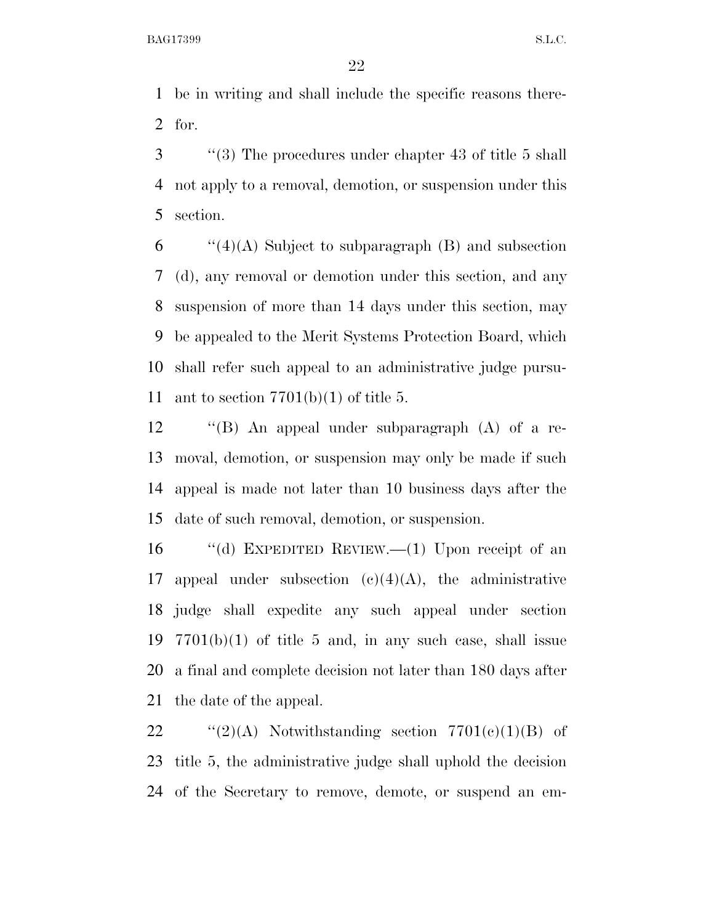be in writing and shall include the specific reasons there-for.

 ''(3) The procedures under chapter 43 of title 5 shall not apply to a removal, demotion, or suspension under this section.

 "(4)(A) Subject to subparagraph (B) and subsection (d), any removal or demotion under this section, and any suspension of more than 14 days under this section, may be appealed to the Merit Systems Protection Board, which shall refer such appeal to an administrative judge pursu-11 ant to section  $7701(b)(1)$  of title 5.

 ''(B) An appeal under subparagraph (A) of a re- moval, demotion, or suspension may only be made if such appeal is made not later than 10 business days after the date of such removal, demotion, or suspension.

 ''(d) EXPEDITED REVIEW.—(1) Upon receipt of an 17 appeal under subsection  $(c)(4)(A)$ , the administrative judge shall expedite any such appeal under section  $7701(b)(1)$  of title 5 and, in any such case, shall issue a final and complete decision not later than 180 days after the date of the appeal.

22  $\text{``(2)(A)}$  Notwithstanding section  $7701(c)(1)(B)$  of title 5, the administrative judge shall uphold the decision of the Secretary to remove, demote, or suspend an em-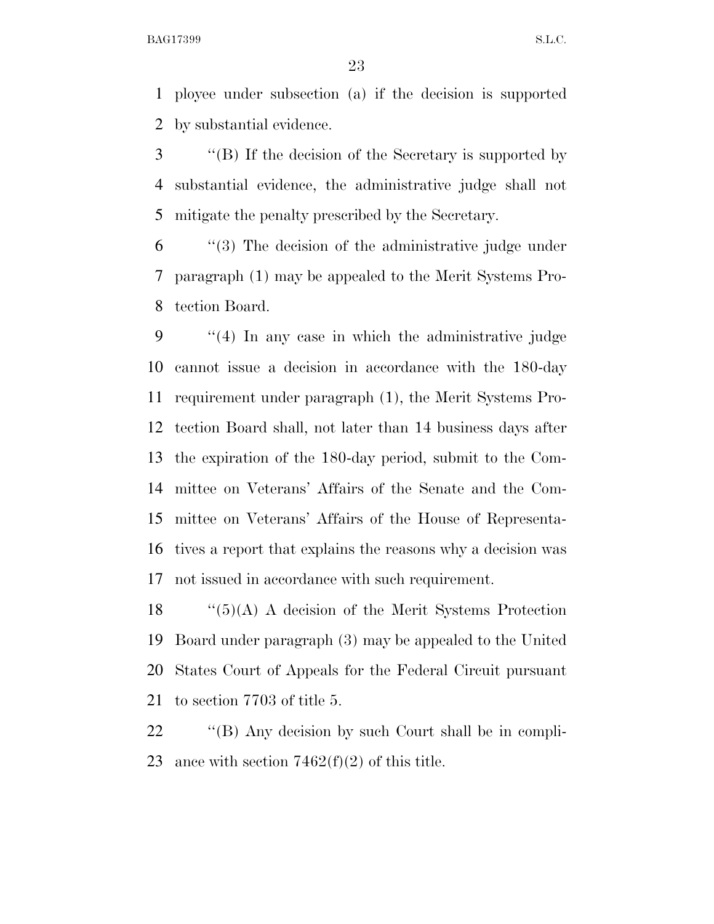ployee under subsection (a) if the decision is supported by substantial evidence.

 ''(B) If the decision of the Secretary is supported by substantial evidence, the administrative judge shall not mitigate the penalty prescribed by the Secretary.

 ''(3) The decision of the administrative judge under paragraph (1) may be appealed to the Merit Systems Pro-tection Board.

 ''(4) In any case in which the administrative judge cannot issue a decision in accordance with the 180-day requirement under paragraph (1), the Merit Systems Pro- tection Board shall, not later than 14 business days after the expiration of the 180-day period, submit to the Com- mittee on Veterans' Affairs of the Senate and the Com- mittee on Veterans' Affairs of the House of Representa- tives a report that explains the reasons why a decision was not issued in accordance with such requirement.

 $\frac{1}{5}(A)$  A decision of the Merit Systems Protection Board under paragraph (3) may be appealed to the United States Court of Appeals for the Federal Circuit pursuant to section 7703 of title 5.

22  $\langle$  "(B) Any decision by such Court shall be in compli-23 ance with section  $7462(f)(2)$  of this title.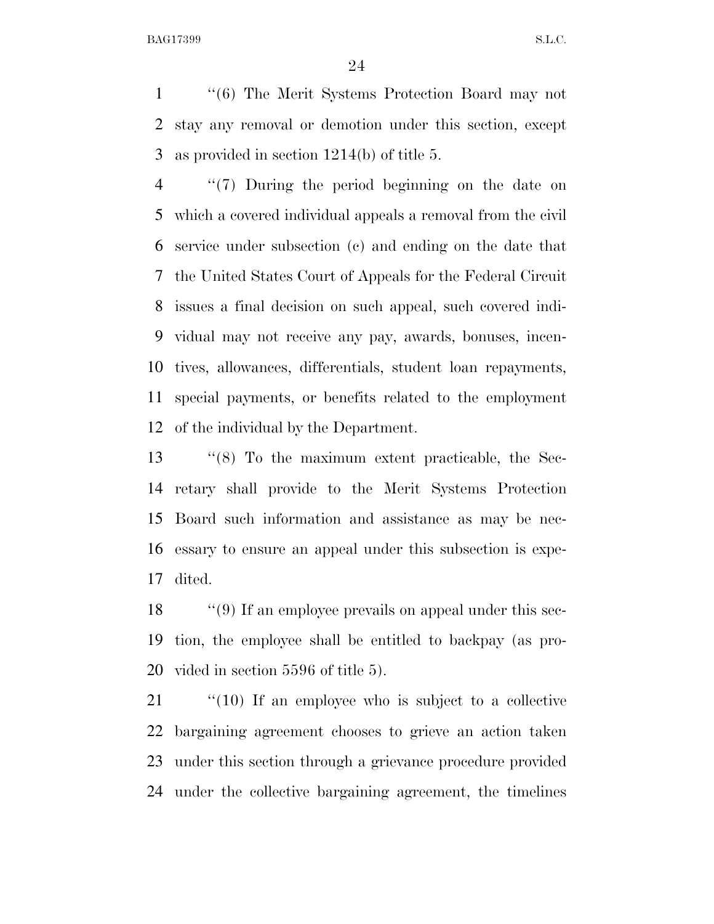''(6) The Merit Systems Protection Board may not stay any removal or demotion under this section, except as provided in section 1214(b) of title 5.

 ''(7) During the period beginning on the date on which a covered individual appeals a removal from the civil service under subsection (c) and ending on the date that the United States Court of Appeals for the Federal Circuit issues a final decision on such appeal, such covered indi- vidual may not receive any pay, awards, bonuses, incen- tives, allowances, differentials, student loan repayments, special payments, or benefits related to the employment of the individual by the Department.

 ''(8) To the maximum extent practicable, the Sec- retary shall provide to the Merit Systems Protection Board such information and assistance as may be nec- essary to ensure an appeal under this subsection is expe-dited.

18 ''(9) If an employee prevails on appeal under this sec- tion, the employee shall be entitled to backpay (as pro-vided in section 5596 of title 5).

 ''(10) If an employee who is subject to a collective bargaining agreement chooses to grieve an action taken under this section through a grievance procedure provided under the collective bargaining agreement, the timelines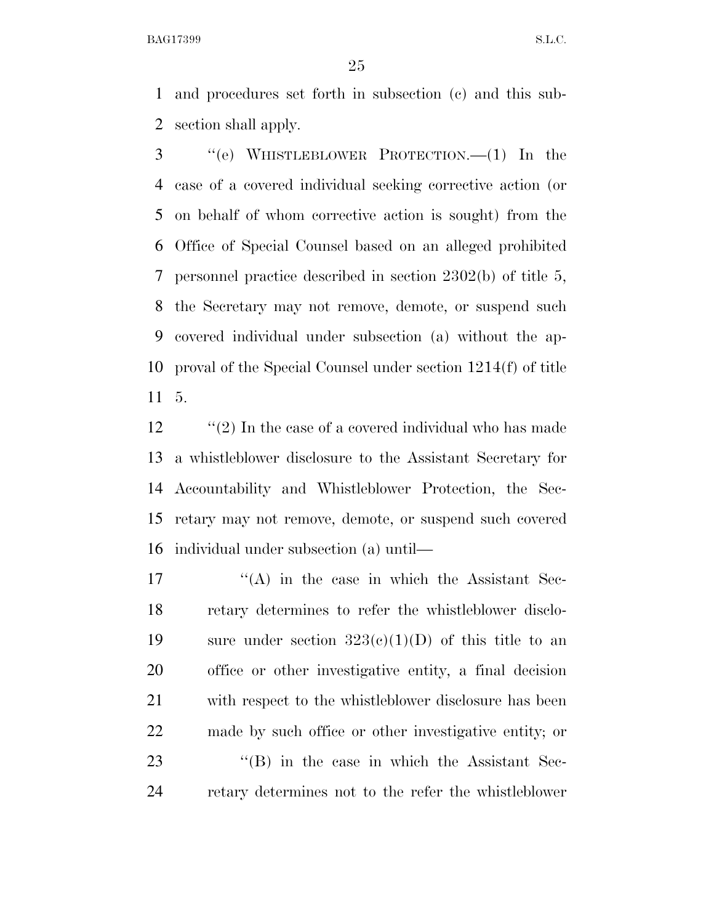and procedures set forth in subsection (c) and this sub-section shall apply.

 ''(e) WHISTLEBLOWER PROTECTION.—(1) In the case of a covered individual seeking corrective action (or on behalf of whom corrective action is sought) from the Office of Special Counsel based on an alleged prohibited personnel practice described in section 2302(b) of title 5, the Secretary may not remove, demote, or suspend such covered individual under subsection (a) without the ap- proval of the Special Counsel under section 1214(f) of title 5.

12 ''(2) In the case of a covered individual who has made a whistleblower disclosure to the Assistant Secretary for Accountability and Whistleblower Protection, the Sec- retary may not remove, demote, or suspend such covered individual under subsection (a) until—

 $'$ (A) in the case in which the Assistant Sec- retary determines to refer the whistleblower disclo-19 sure under section  $323(e)(1)(D)$  of this title to an office or other investigative entity, a final decision with respect to the whistleblower disclosure has been made by such office or other investigative entity; or 23 ''(B) in the case in which the Assistant Sec-retary determines not to the refer the whistleblower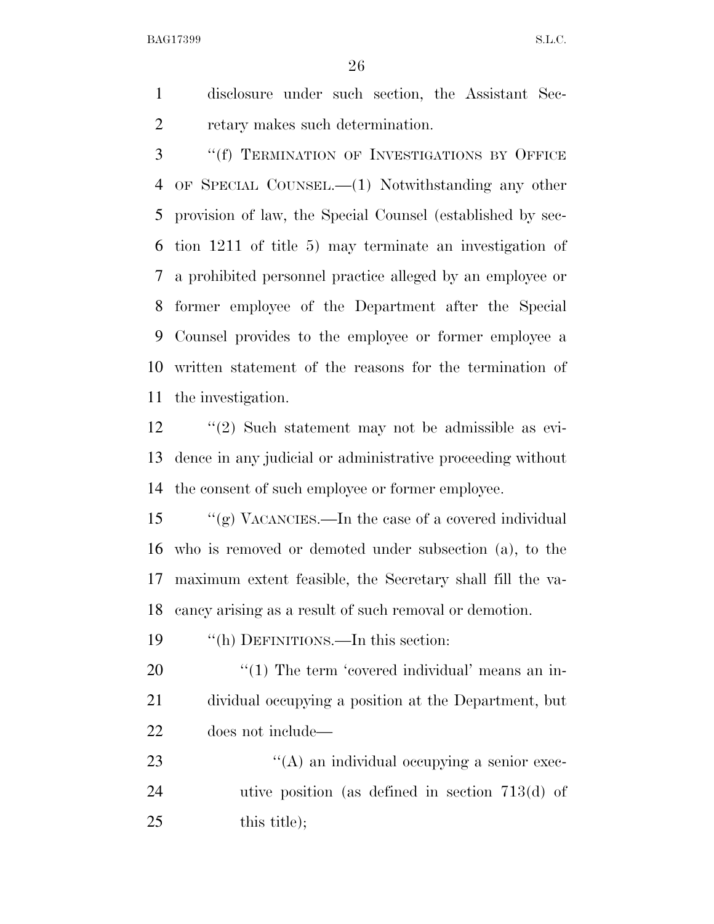disclosure under such section, the Assistant Sec-retary makes such determination.

 ''(f) TERMINATION OF INVESTIGATIONS BY OFFICE OF SPECIAL COUNSEL.—(1) Notwithstanding any other provision of law, the Special Counsel (established by sec- tion 1211 of title 5) may terminate an investigation of a prohibited personnel practice alleged by an employee or former employee of the Department after the Special Counsel provides to the employee or former employee a written statement of the reasons for the termination of the investigation.

 ''(2) Such statement may not be admissible as evi- dence in any judicial or administrative proceeding without the consent of such employee or former employee.

 ''(g) VACANCIES.—In the case of a covered individual who is removed or demoted under subsection (a), to the maximum extent feasible, the Secretary shall fill the va-cancy arising as a result of such removal or demotion.

''(h) DEFINITIONS.—In this section:

20  $\frac{1}{20}$  The term 'covered individual' means an in- dividual occupying a position at the Department, but does not include—

23  $\langle (A)$  an individual occupying a senior exec- utive position (as defined in section 713(d) of this title);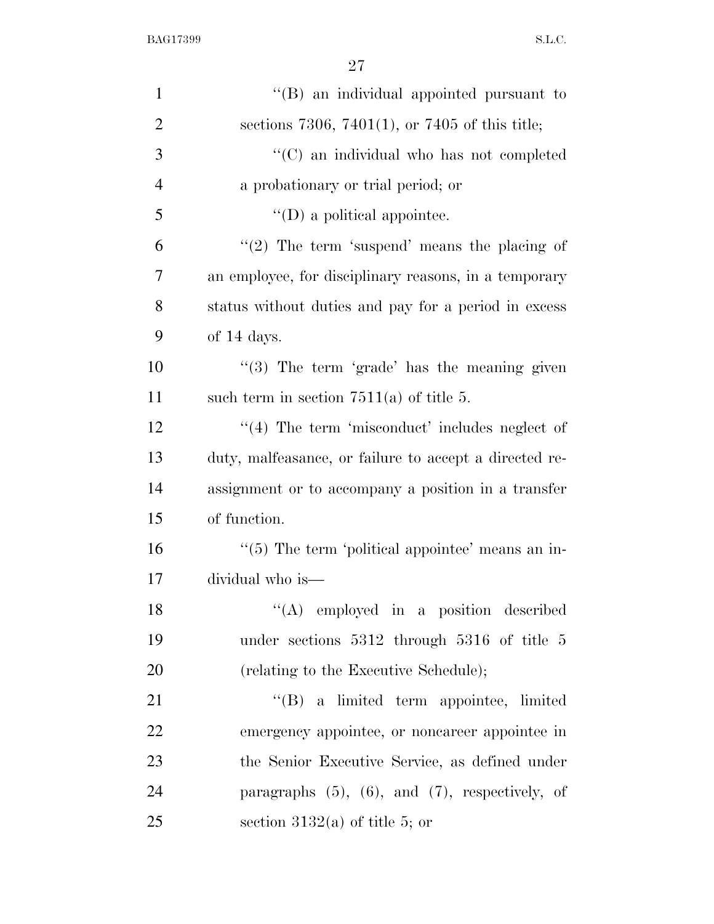| $\mathbf{1}$   | "(B) an individual appointed pursuant to                |
|----------------|---------------------------------------------------------|
| $\overline{2}$ | sections 7306, 7401(1), or 7405 of this title;          |
| 3              | "(C) an individual who has not completed                |
| $\overline{4}$ | a probationary or trial period; or                      |
| 5              | $\lq\lq$ (D) a political appointee.                     |
| 6              | $"(2)$ The term 'suspend' means the placing of          |
| 7              | an employee, for disciplinary reasons, in a temporary   |
| 8              | status without duties and pay for a period in excess    |
| 9              | of 14 days.                                             |
| 10             | $\lq(3)$ The term 'grade' has the meaning given         |
| 11             | such term in section $7511(a)$ of title 5.              |
| 12             | $\lq(4)$ The term 'misconduct' includes neglect of      |
| 13             | duty, malfeasance, or failure to accept a directed re-  |
| 14             | assignment or to accompany a position in a transfer     |
| 15             | of function.                                            |
| 16             | $\lq(5)$ The term 'political appointee' means an in-    |
| 17             | dividual who is—                                        |
| 18             | "(A) employed in a position described                   |
| 19             | under sections $5312$ through $5316$ of title 5         |
| 20             | (relating to the Executive Schedule);                   |
| 21             | "(B) a limited term appointee, limited                  |
| 22             | emergency appointee, or noncareer appointee in          |
| 23             | the Senior Executive Service, as defined under          |
| 24             | paragraphs $(5)$ , $(6)$ , and $(7)$ , respectively, of |
| 25             | section 3132(a) of title 5; or                          |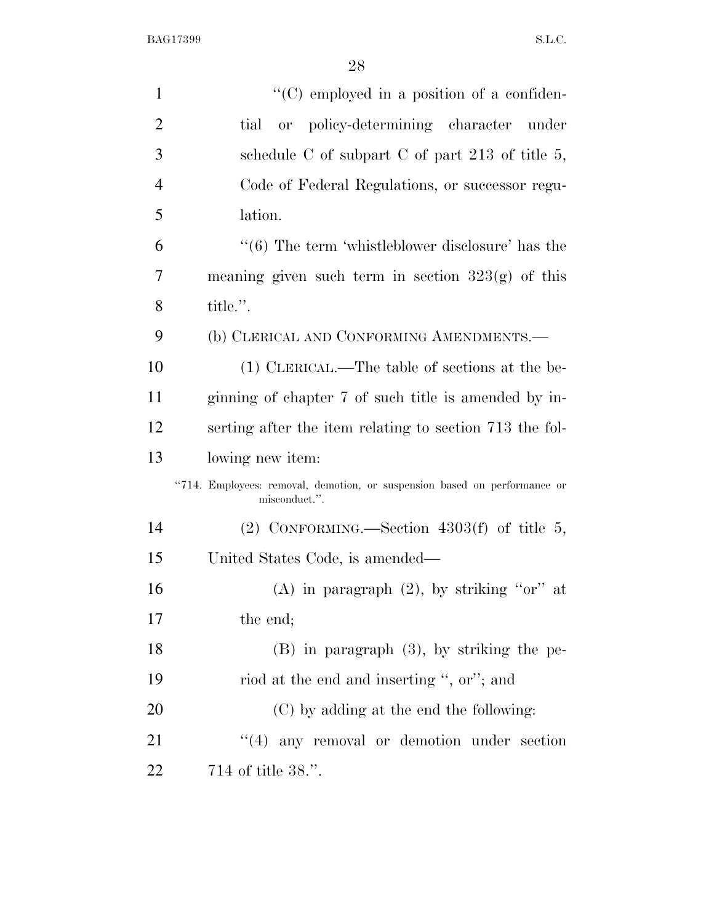| $\mathbf{1}$   | "(C) employed in a position of a confiden-                                                 |
|----------------|--------------------------------------------------------------------------------------------|
| $\overline{2}$ | or policy-determining character under<br>tial                                              |
| 3              | schedule C of subpart C of part 213 of title $5$ ,                                         |
| $\overline{4}$ | Code of Federal Regulations, or successor regu-                                            |
| 5              | lation.                                                                                    |
| 6              | $\cdot\cdot$ (6) The term 'whistleblower disclosure' has the                               |
| 7              | meaning given such term in section $323(g)$ of this                                        |
| 8              | title.".                                                                                   |
| 9              | (b) CLERICAL AND CONFORMING AMENDMENTS.—                                                   |
| 10             | (1) CLERICAL.—The table of sections at the be-                                             |
| 11             | ginning of chapter 7 of such title is amended by in-                                       |
| 12             | serting after the item relating to section 713 the fol-                                    |
| 13             | lowing new item:                                                                           |
|                | "714. Employees: removal, demotion, or suspension based on performance or<br>misconduct.". |
| 14             | (2) CONFORMING.—Section $4303(f)$ of title 5,                                              |
| 15             | United States Code, is amended—                                                            |
| 16             | (A) in paragraph $(2)$ , by striking "or" at                                               |
| 17             | the end;                                                                                   |
| 18             | $(B)$ in paragraph $(3)$ , by striking the pe-                                             |
| 19             | riod at the end and inserting ", or"; and                                                  |
| 20             | (C) by adding at the end the following:                                                    |
| 21             | $\lq(4)$ any removal or demotion under section                                             |
| 22             | 714 of title 38.".                                                                         |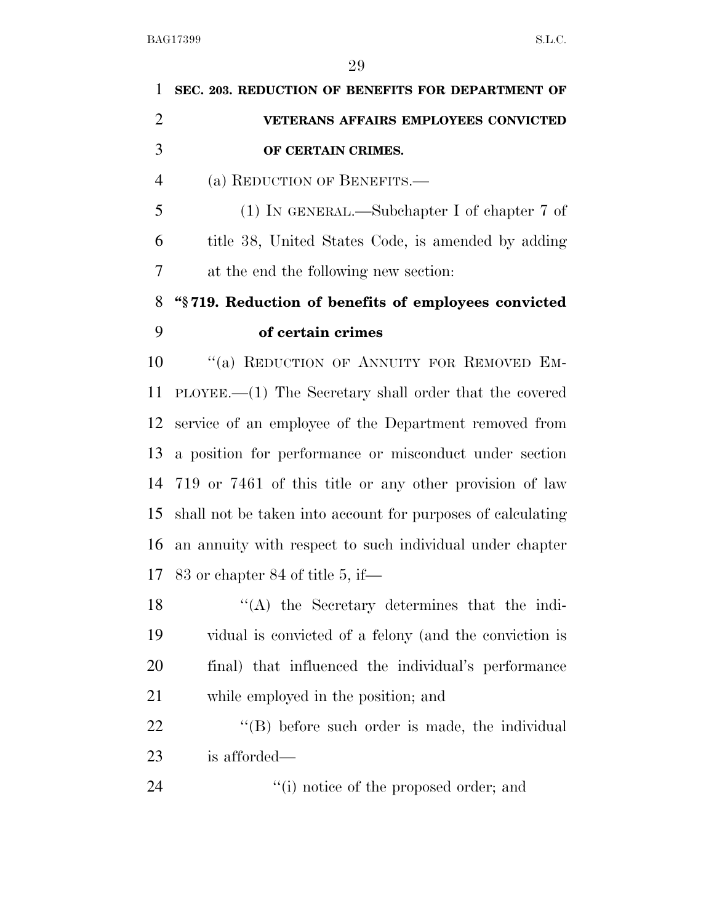| 1              | SEC. 203. REDUCTION OF BENEFITS FOR DEPARTMENT OF                |
|----------------|------------------------------------------------------------------|
| $\overline{2}$ | <b>VETERANS AFFAIRS EMPLOYEES CONVICTED</b>                      |
| 3              | OF CERTAIN CRIMES.                                               |
| $\overline{4}$ | (a) REDUCTION OF BENEFITS.—                                      |
| 5              | (1) IN GENERAL.—Subchapter I of chapter 7 of                     |
| 6              | title 38, United States Code, is amended by adding               |
| 7              | at the end the following new section:                            |
| 8              | "§719. Reduction of benefits of employees convicted              |
| 9              | of certain crimes                                                |
| 10             | "(a) REDUCTION OF ANNUITY FOR REMOVED EM-                        |
| 11             | $\text{PLoyEE}$ . (1) The Secretary shall order that the covered |
| 12             | service of an employee of the Department removed from            |
| 13             | a position for performance or misconduct under section           |
| 14             | 719 or 7461 of this title or any other provision of law          |
| 15             | shall not be taken into account for purposes of calculating      |
| 16             | an annuity with respect to such individual under chapter         |
| 17             | $83$ or chapter $84$ of title 5, if—                             |
| 18             | "(A) the Secretary determines that the indi-                     |
| 19             | vidual is convicted of a felony (and the conviction is           |
| 20             | final) that influenced the individual's performance              |
| 21             | while employed in the position; and                              |
| <u>22</u>      | $\lq\lq$ before such order is made, the individual               |
| 23             | is afforded—                                                     |
| 24             | "(i) notice of the proposed order; and                           |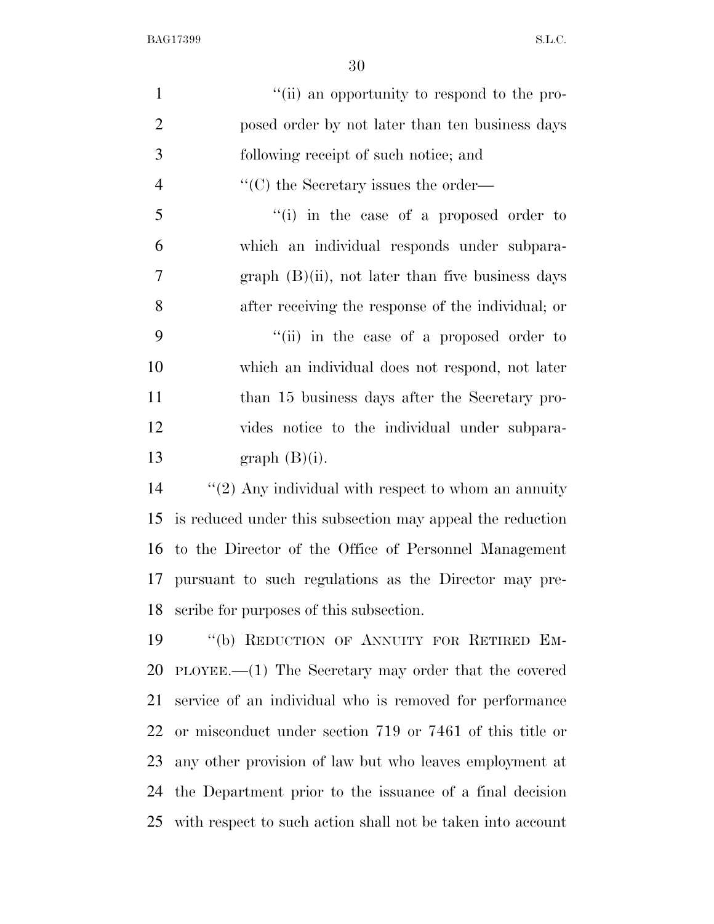| $\mathbf{1}$   | "(ii) an opportunity to respond to the pro-                   |
|----------------|---------------------------------------------------------------|
| $\overline{2}$ | posed order by not later than ten business days               |
| 3              | following receipt of such notice; and                         |
| $\overline{4}$ | $\lq\lq$ <sup>"</sup> (C) the Secretary issues the order—     |
| 5              | "(i) in the case of a proposed order to                       |
| 6              | which an individual responds under subpara-                   |
| $\overline{7}$ | $graph$ (B)(ii), not later than five business days            |
| 8              | after receiving the response of the individual; or            |
| 9              | "(ii) in the case of a proposed order to                      |
| 10             | which an individual does not respond, not later               |
| 11             | than 15 business days after the Secretary pro-                |
| 12             | vides notice to the individual under subpara-                 |
| 13             | $graph(B)(i)$ .                                               |
| 14             | " $(2)$ Any individual with respect to whom an annuity        |
| 15             | is reduced under this subsection may appeal the reduction     |
| 16             | to the Director of the Office of Personnel Management         |
| 17             | pursuant to such regulations as the Director may pre-         |
| 18             | scribe for purposes of this subsection.                       |
| 19             | "(b) REDUCTION OF ANNUITY FOR RETIRED EM-                     |
| 20             | $\text{PLoyEE}.$ (1) The Secretary may order that the covered |
| 21             | service of an individual who is removed for performance       |
| 22             | or misconduct under section 719 or 7461 of this title or      |
| 23             | any other provision of law but who leaves employment at       |
| 24             | the Department prior to the issuance of a final decision      |
| 25             | with respect to such action shall not be taken into account   |
|                |                                                               |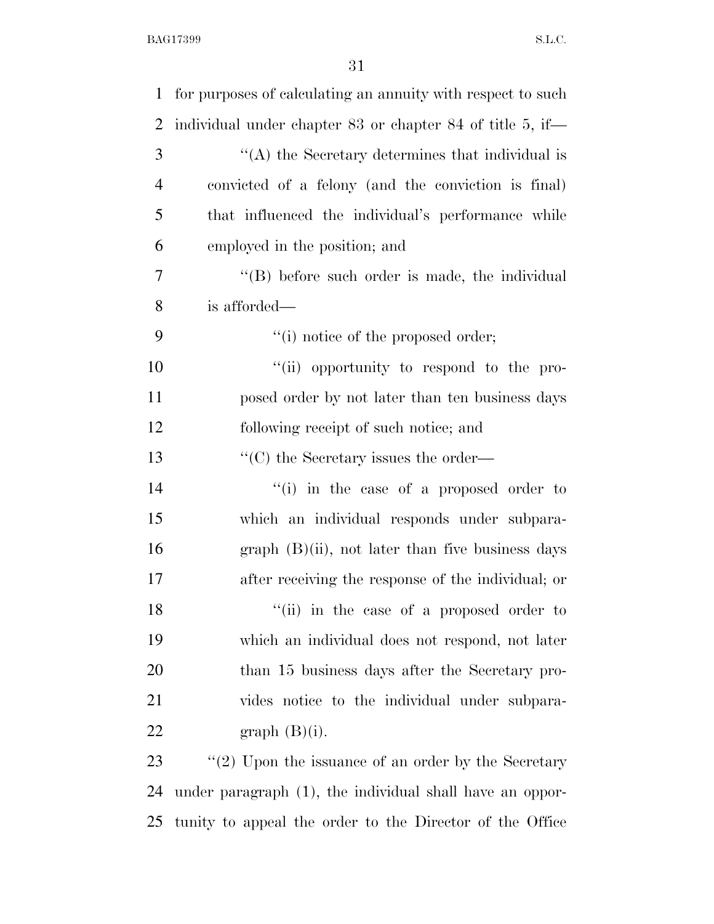| $\mathbf{1}$   | for purposes of calculating an annuity with respect to such |
|----------------|-------------------------------------------------------------|
| $\overline{2}$ | individual under chapter 83 or chapter 84 of title 5, if—   |
| 3              | $\cdot$ (A) the Secretary determines that individual is     |
| 4              | convicted of a felony (and the conviction is final)         |
| 5              | that influenced the individual's performance while          |
| 6              | employed in the position; and                               |
| 7              | $\lq\lq$ before such order is made, the individual          |
| 8              | is afforded—                                                |
| 9              | "(i) notice of the proposed order;                          |
| 10             | "(ii) opportunity to respond to the pro-                    |
| 11             | posed order by not later than ten business days             |
| 12             | following receipt of such notice; and                       |
| 13             | $\lq\lq$ <sup>"</sup> (C) the Secretary issues the order—   |
| 14             | $``(i)$ in the case of a proposed order to                  |
| 15             | which an individual responds under subpara-                 |
| 16             | $graph$ (B)(ii), not later than five business days          |
| 17             | after receiving the response of the individual; or          |
| 18             | "(ii) in the case of a proposed order to                    |
| 19             | which an individual does not respond, not later             |
| 20             | than 15 business days after the Secretary pro-              |
| 21             | vides notice to the individual under subpara-               |
| 22             | $graph(B)(i)$ .                                             |
| 23             | $\lq(2)$ Upon the issuance of an order by the Secretary     |
| 24             | under paragraph (1), the individual shall have an oppor-    |
| 25             | tunity to appeal the order to the Director of the Office    |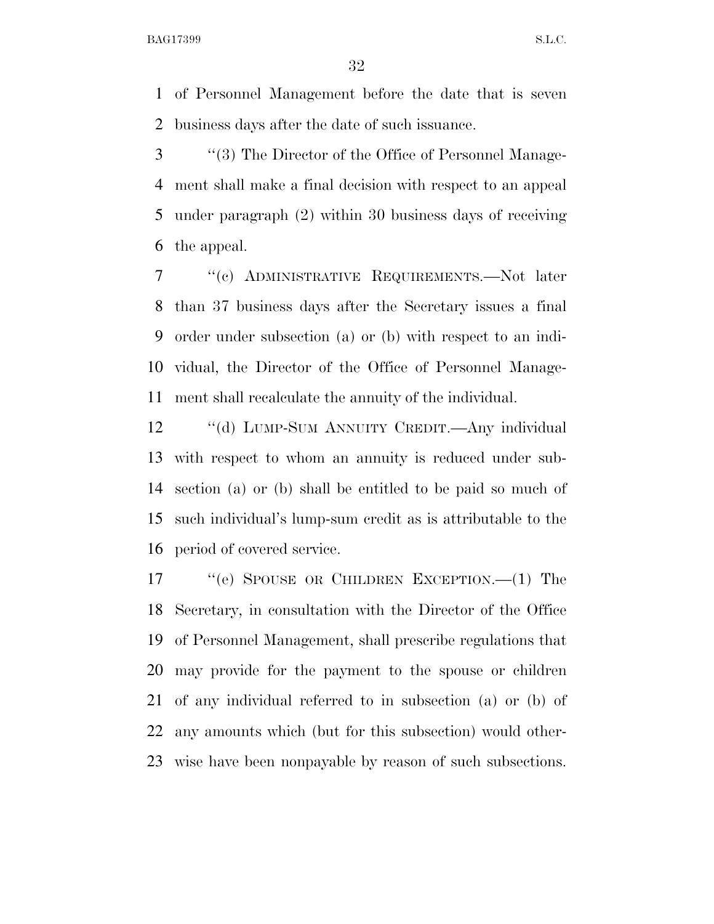of Personnel Management before the date that is seven business days after the date of such issuance.

 ''(3) The Director of the Office of Personnel Manage- ment shall make a final decision with respect to an appeal under paragraph (2) within 30 business days of receiving the appeal.

 ''(c) ADMINISTRATIVE REQUIREMENTS.—Not later than 37 business days after the Secretary issues a final order under subsection (a) or (b) with respect to an indi- vidual, the Director of the Office of Personnel Manage-ment shall recalculate the annuity of the individual.

 ''(d) LUMP-SUM ANNUITY CREDIT.—Any individual with respect to whom an annuity is reduced under sub- section (a) or (b) shall be entitled to be paid so much of such individual's lump-sum credit as is attributable to the period of covered service.

 ''(e) SPOUSE OR CHILDREN EXCEPTION.—(1) The Secretary, in consultation with the Director of the Office of Personnel Management, shall prescribe regulations that may provide for the payment to the spouse or children of any individual referred to in subsection (a) or (b) of any amounts which (but for this subsection) would other-wise have been nonpayable by reason of such subsections.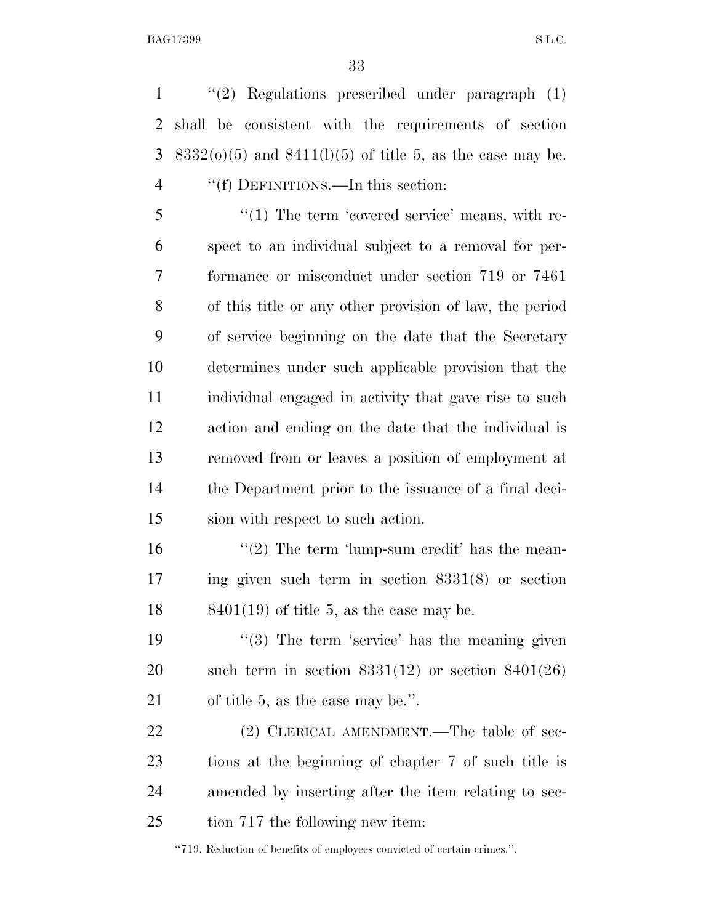''(2) Regulations prescribed under paragraph (1) shall be consistent with the requirements of section 3 8332( $o(5)$  and 8411( $l(1)(5)$  of title 5, as the case may be. 4 ""(f) DEFINITIONS.—In this section:

5 "(1) The term 'covered service' means, with re- spect to an individual subject to a removal for per- formance or misconduct under section 719 or 7461 of this title or any other provision of law, the period of service beginning on the date that the Secretary determines under such applicable provision that the individual engaged in activity that gave rise to such action and ending on the date that the individual is removed from or leaves a position of employment at the Department prior to the issuance of a final deci-sion with respect to such action.

16  $\frac{16}{2}$  The term 'lump-sum credit' has the mean- ing given such term in section 8331(8) or section 18  $8401(19)$  of title 5, as the case may be.

19 ''(3) The term 'service' has the meaning given 20 such term in section  $8331(12)$  or section  $8401(26)$ of title 5, as the case may be.''.

22 (2) CLERICAL AMENDMENT.—The table of sec- tions at the beginning of chapter 7 of such title is amended by inserting after the item relating to sec-tion 717 the following new item:

''719. Reduction of benefits of employees convicted of certain crimes.''.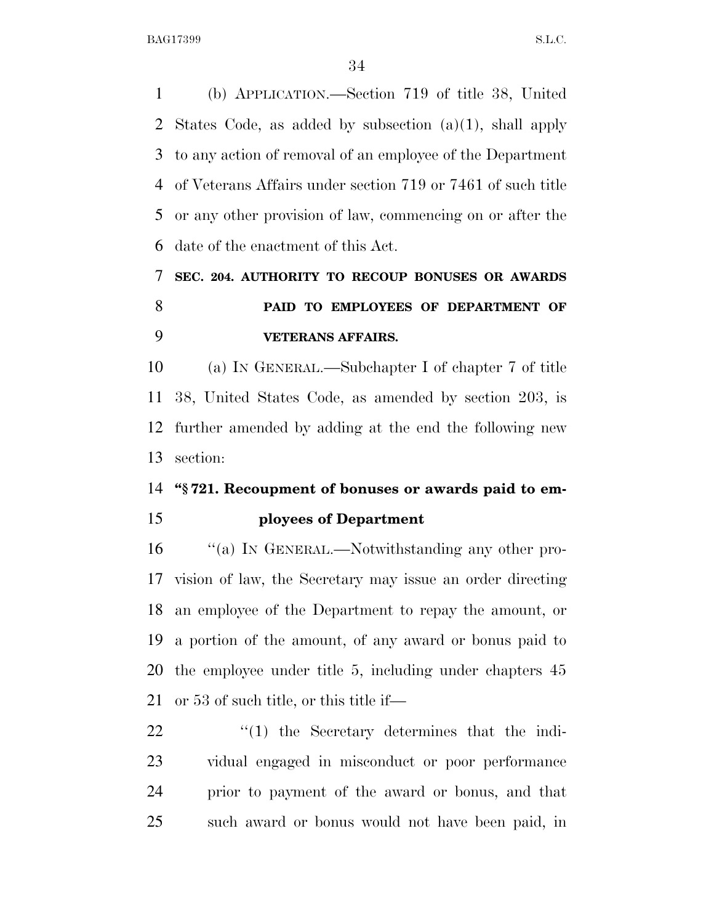(b) APPLICATION.—Section 719 of title 38, United States Code, as added by subsection (a)(1), shall apply to any action of removal of an employee of the Department of Veterans Affairs under section 719 or 7461 of such title or any other provision of law, commencing on or after the date of the enactment of this Act.

# **SEC. 204. AUTHORITY TO RECOUP BONUSES OR AWARDS PAID TO EMPLOYEES OF DEPARTMENT OF VETERANS AFFAIRS.**

 (a) IN GENERAL.—Subchapter I of chapter 7 of title 38, United States Code, as amended by section 203, is further amended by adding at the end the following new section:

## **''§ 721. Recoupment of bonuses or awards paid to em-**

### **ployees of Department**

16 "(a) In GENERAL.—Notwithstanding any other pro- vision of law, the Secretary may issue an order directing an employee of the Department to repay the amount, or a portion of the amount, of any award or bonus paid to the employee under title 5, including under chapters 45 or 53 of such title, or this title if—

 $\frac{1}{2}$  (1) the Secretary determines that the indi- vidual engaged in misconduct or poor performance prior to payment of the award or bonus, and that such award or bonus would not have been paid, in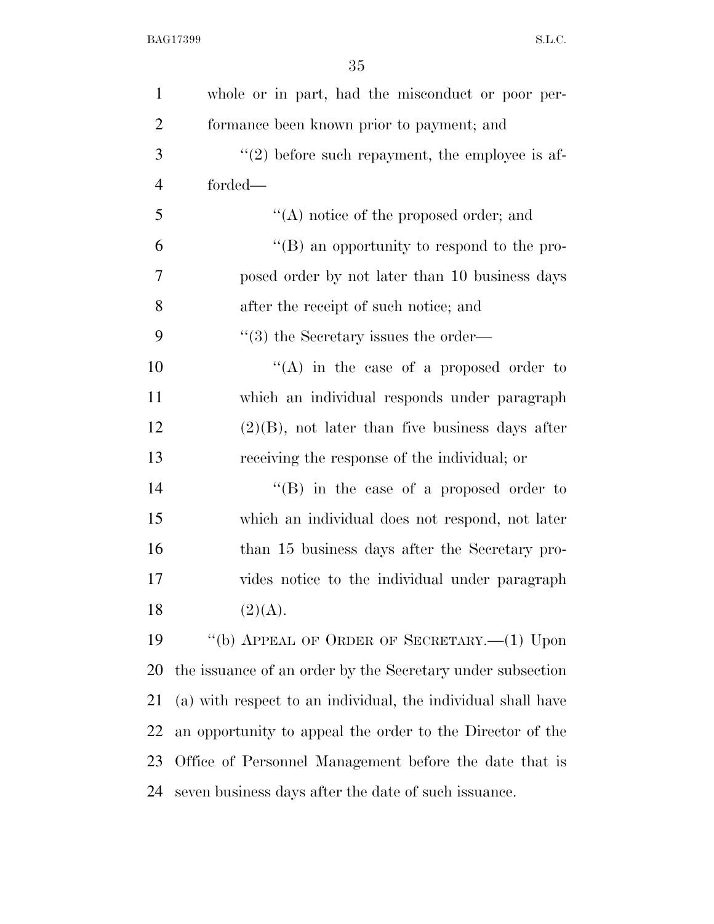| 1              | whole or in part, had the misconduct or poor per-            |
|----------------|--------------------------------------------------------------|
| $\overline{2}$ | formance been known prior to payment; and                    |
| 3              | $\lq(2)$ before such repayment, the employee is af-          |
| $\overline{4}$ | forded—                                                      |
| 5              | $\lq\lq$ notice of the proposed order; and                   |
| 6              | "(B) an opportunity to respond to the pro-                   |
| 7              | posed order by not later than 10 business days               |
| 8              | after the receipt of such notice; and                        |
| 9              | $\cdot$ (3) the Secretary issues the order—                  |
| 10             | "(A) in the case of a proposed order to                      |
| 11             | which an individual responds under paragraph                 |
| 12             | $(2)(B)$ , not later than five business days after           |
| 13             | receiving the response of the individual; or                 |
| 14             | "(B) in the case of a proposed order to                      |
| 15             | which an individual does not respond, not later              |
| 16             | than 15 business days after the Secretary pro-               |
| 17             | vides notice to the individual under paragraph               |
| 18             | (2)(A).                                                      |
| 19             | "(b) APPEAL OF ORDER OF SECRETARY.— $(1)$ Upon               |
| 20             | the issuance of an order by the Secretary under subsection   |
| 21             | (a) with respect to an individual, the individual shall have |
| 22             | an opportunity to appeal the order to the Director of the    |
| 23             | Office of Personnel Management before the date that is       |
| 24             | seven business days after the date of such issuance.         |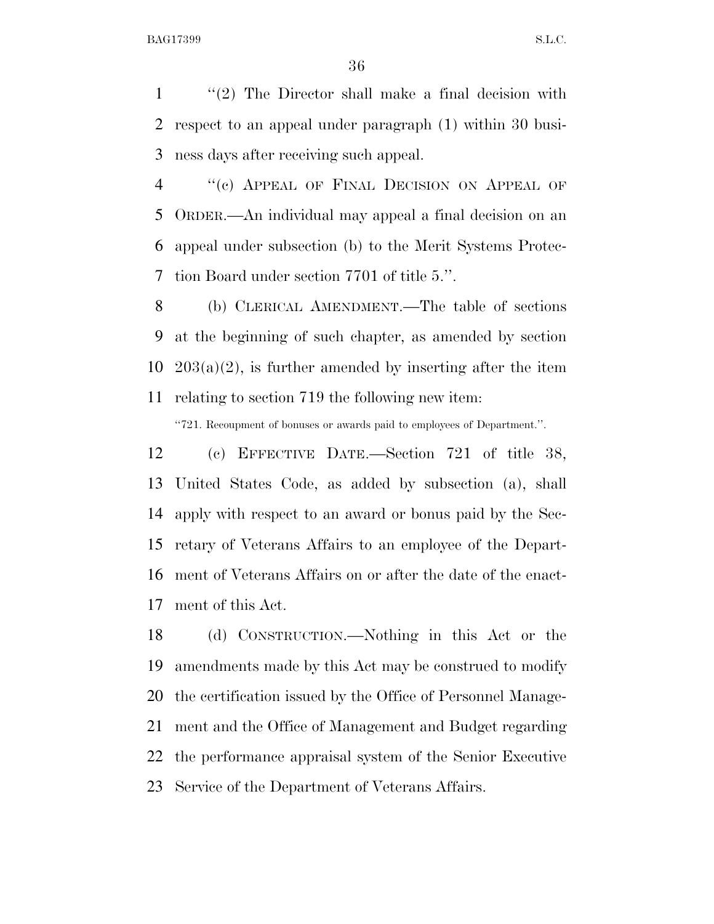''(2) The Director shall make a final decision with respect to an appeal under paragraph (1) within 30 busi-ness days after receiving such appeal.

4 "(c) APPEAL OF FINAL DECISION ON APPEAL OF ORDER.—An individual may appeal a final decision on an appeal under subsection (b) to the Merit Systems Protec-tion Board under section 7701 of title 5.''.

 (b) CLERICAL AMENDMENT.—The table of sections at the beginning of such chapter, as amended by section  $203(a)(2)$ , is further amended by inserting after the item relating to section 719 the following new item:

''721. Recoupment of bonuses or awards paid to employees of Department.''.

 (c) EFFECTIVE DATE.—Section 721 of title 38, United States Code, as added by subsection (a), shall apply with respect to an award or bonus paid by the Sec- retary of Veterans Affairs to an employee of the Depart- ment of Veterans Affairs on or after the date of the enact-ment of this Act.

 (d) CONSTRUCTION.—Nothing in this Act or the amendments made by this Act may be construed to modify the certification issued by the Office of Personnel Manage- ment and the Office of Management and Budget regarding the performance appraisal system of the Senior Executive Service of the Department of Veterans Affairs.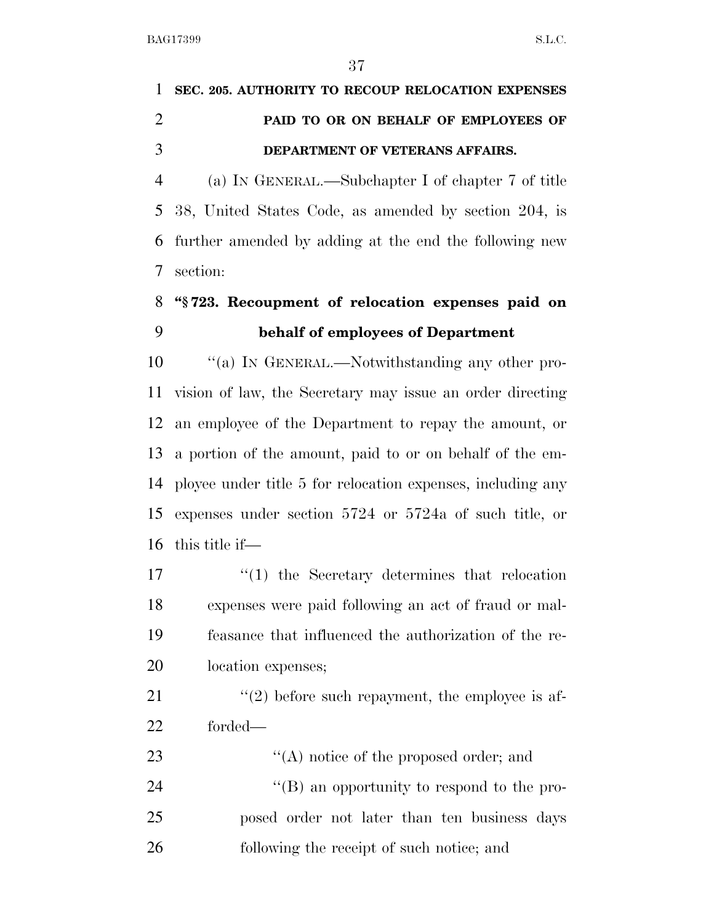# **SEC. 205. AUTHORITY TO RECOUP RELOCATION EXPENSES PAID TO OR ON BEHALF OF EMPLOYEES OF DEPARTMENT OF VETERANS AFFAIRS.**

 (a) IN GENERAL.—Subchapter I of chapter 7 of title 38, United States Code, as amended by section 204, is further amended by adding at the end the following new section:

## **''§ 723. Recoupment of relocation expenses paid on behalf of employees of Department**

 ''(a) IN GENERAL.—Notwithstanding any other pro- vision of law, the Secretary may issue an order directing an employee of the Department to repay the amount, or a portion of the amount, paid to or on behalf of the em- ployee under title 5 for relocation expenses, including any expenses under section 5724 or 5724a of such title, or this title if—

 $\frac{1}{2}$  the Secretary determines that relocation expenses were paid following an act of fraud or mal- feasance that influenced the authorization of the re-location expenses;

21  $\frac{u(2)}{2}$  before such repayment, the employee is af-forded—

 $\langle (A) \rangle$  notice of the proposed order; and 24 ''(B) an opportunity to respond to the pro- posed order not later than ten business days following the receipt of such notice; and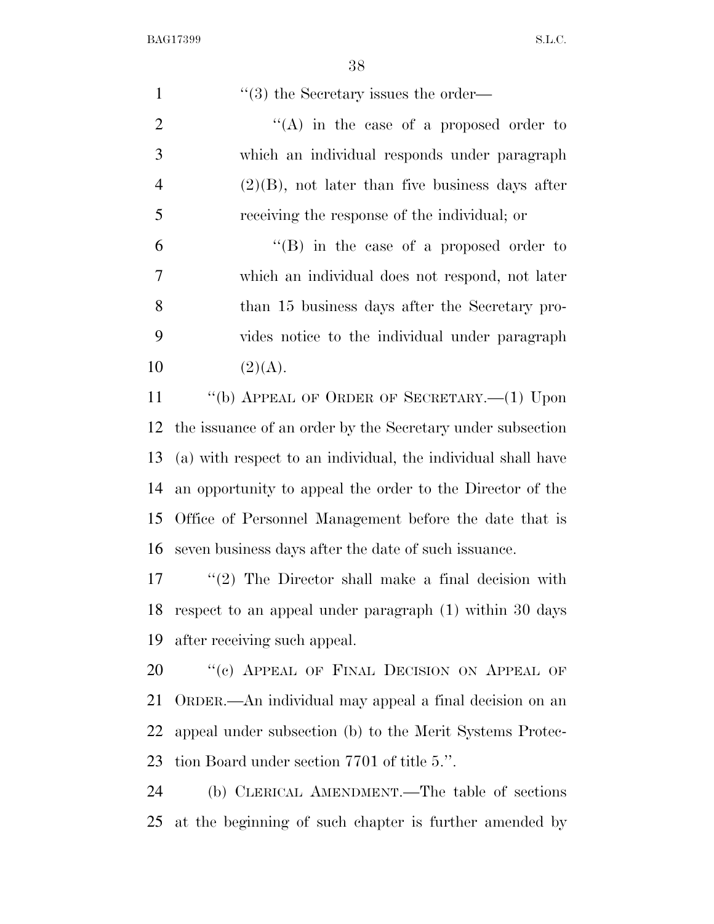$\frac{1}{2}$   $\frac{1}{2}$  the Secretary issues the order—  $\langle (A)$  in the case of a proposed order to which an individual responds under paragraph  $4 \qquad (2)(B)$ , not later than five business days after receiving the response of the individual; or ''(B) in the case of a proposed order to which an individual does not respond, not later than 15 business days after the Secretary pro- vides notice to the individual under paragraph 10  $(2)(A)$ . ''(b) APPEAL OF ORDER OF SECRETARY.—(1) Upon the issuance of an order by the Secretary under subsection (a) with respect to an individual, the individual shall have an opportunity to appeal the order to the Director of the Office of Personnel Management before the date that is seven business days after the date of such issuance. ''(2) The Director shall make a final decision with respect to an appeal under paragraph (1) within 30 days after receiving such appeal.

20 "(c) APPEAL OF FINAL DECISION ON APPEAL OF ORDER.—An individual may appeal a final decision on an appeal under subsection (b) to the Merit Systems Protec-tion Board under section 7701 of title 5.''.

 (b) CLERICAL AMENDMENT.—The table of sections at the beginning of such chapter is further amended by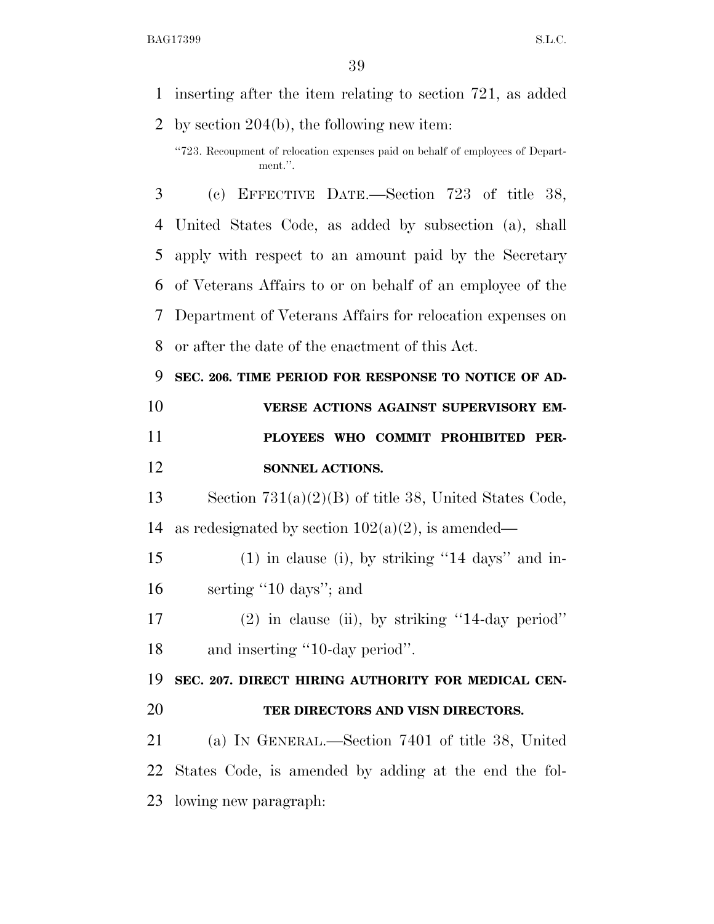inserting after the item relating to section 721, as added

 by section 204(b), the following new item: ''723. Recoupment of relocation expenses paid on behalf of employees of Department.''. (c) EFFECTIVE DATE.—Section 723 of title 38, United States Code, as added by subsection (a), shall apply with respect to an amount paid by the Secretary of Veterans Affairs to or on behalf of an employee of the Department of Veterans Affairs for relocation expenses on or after the date of the enactment of this Act. **SEC. 206. TIME PERIOD FOR RESPONSE TO NOTICE OF AD- VERSE ACTIONS AGAINST SUPERVISORY EM- PLOYEES WHO COMMIT PROHIBITED PER- SONNEL ACTIONS.**  Section 731(a)(2)(B) of title 38, United States Code, 14 as redesignated by section  $102(a)(2)$ , is amended— (1) in clause (i), by striking ''14 days'' and in- serting ''10 days''; and (2) in clause (ii), by striking ''14-day period'' 18 and inserting "10-day period". **SEC. 207. DIRECT HIRING AUTHORITY FOR MEDICAL CEN- TER DIRECTORS AND VISN DIRECTORS.**  (a) IN GENERAL.—Section 7401 of title 38, United States Code, is amended by adding at the end the fol-

lowing new paragraph: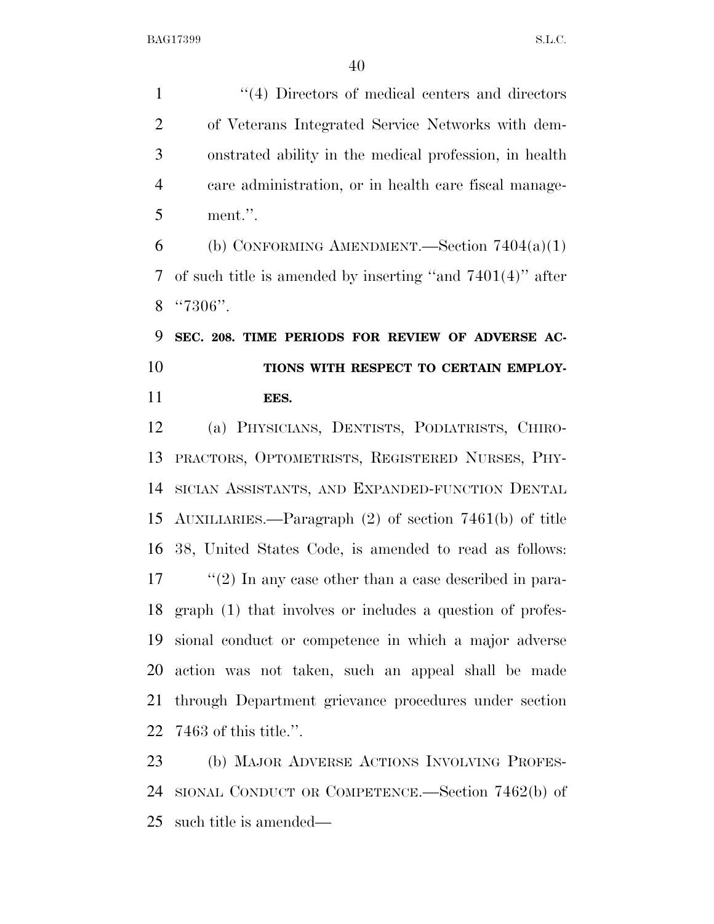1 ''(4) Directors of medical centers and directors of Veterans Integrated Service Networks with dem- onstrated ability in the medical profession, in health care administration, or in health care fiscal manage-ment.''.

6 (b) CONFORMING AMENDMENT.—Section  $7404(a)(1)$  of such title is amended by inserting ''and 7401(4)'' after ''7306''.

 **SEC. 208. TIME PERIODS FOR REVIEW OF ADVERSE AC- TIONS WITH RESPECT TO CERTAIN EMPLOY-EES.** 

 (a) PHYSICIANS, DENTISTS, PODIATRISTS, CHIRO- PRACTORS, OPTOMETRISTS, REGISTERED NURSES, PHY- SICIAN ASSISTANTS, AND EXPANDED-FUNCTION DENTAL AUXILIARIES.—Paragraph (2) of section 7461(b) of title 38, United States Code, is amended to read as follows: 17 ''(2) In any case other than a case described in para- graph (1) that involves or includes a question of profes- sional conduct or competence in which a major adverse action was not taken, such an appeal shall be made through Department grievance procedures under section 7463 of this title.''.

 (b) MAJOR ADVERSE ACTIONS INVOLVING PROFES- SIONAL CONDUCT OR COMPETENCE.—Section 7462(b) of such title is amended—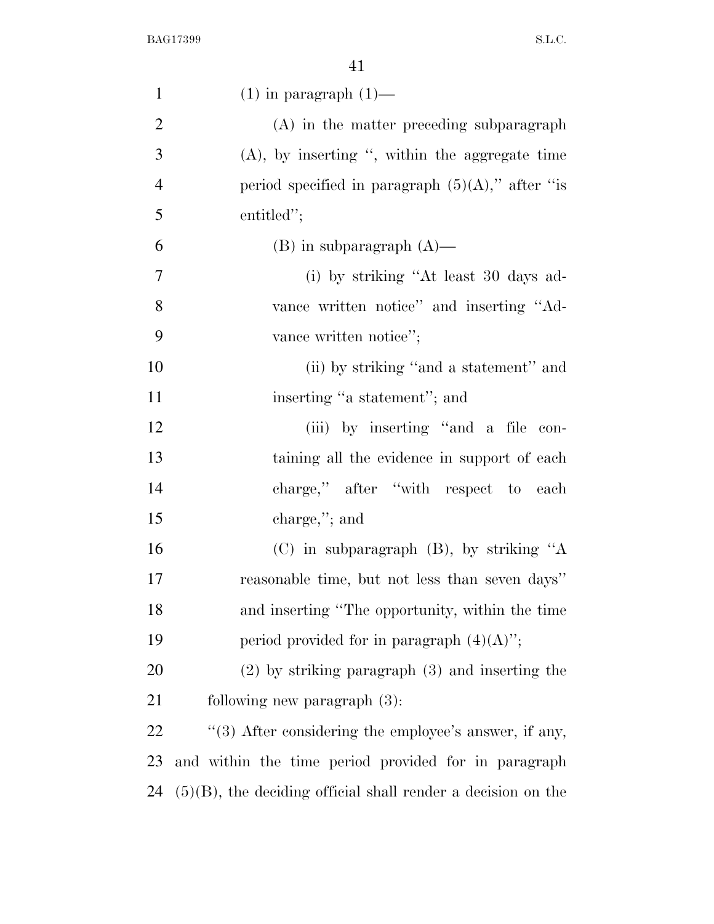| $\mathbf{1}$   | $(1)$ in paragraph $(1)$ —                                      |
|----------------|-----------------------------------------------------------------|
| $\mathfrak{2}$ | (A) in the matter preceding subparagraph                        |
| 3              | $(A)$ , by inserting ", within the aggregate time               |
| $\overline{4}$ | period specified in paragraph $(5)(A)$ ," after "is             |
| 5              | entitled";                                                      |
| 6              | $(B)$ in subparagraph $(A)$ —                                   |
| $\overline{7}$ | (i) by striking "At least 30 days ad-                           |
| 8              | vance written notice" and inserting "Ad-                        |
| 9              | vance written notice";                                          |
| 10             | (ii) by striking "and a statement" and                          |
| 11             | inserting "a statement"; and                                    |
| 12             | (iii) by inserting "and a file con-                             |
| 13             | taining all the evidence in support of each                     |
| 14             | charge," after "with respect to each                            |
| 15             | charge,"; and                                                   |
| 16             | (C) in subparagraph $(B)$ , by striking "A                      |
| 17             | reasonable time, but not less than seven days"                  |
| 18             | and inserting "The opportunity, within the time                 |
| 19             | period provided for in paragraph $(4)(A)$ ";                    |
| 20             | $(2)$ by striking paragraph $(3)$ and inserting the             |
| 21             | following new paragraph (3):                                    |
| 22             | $\cdot$ (3) After considering the employee's answer, if any,    |
| 23             | and within the time period provided for in paragraph            |
| 24             | $(5)(B)$ , the deciding official shall render a decision on the |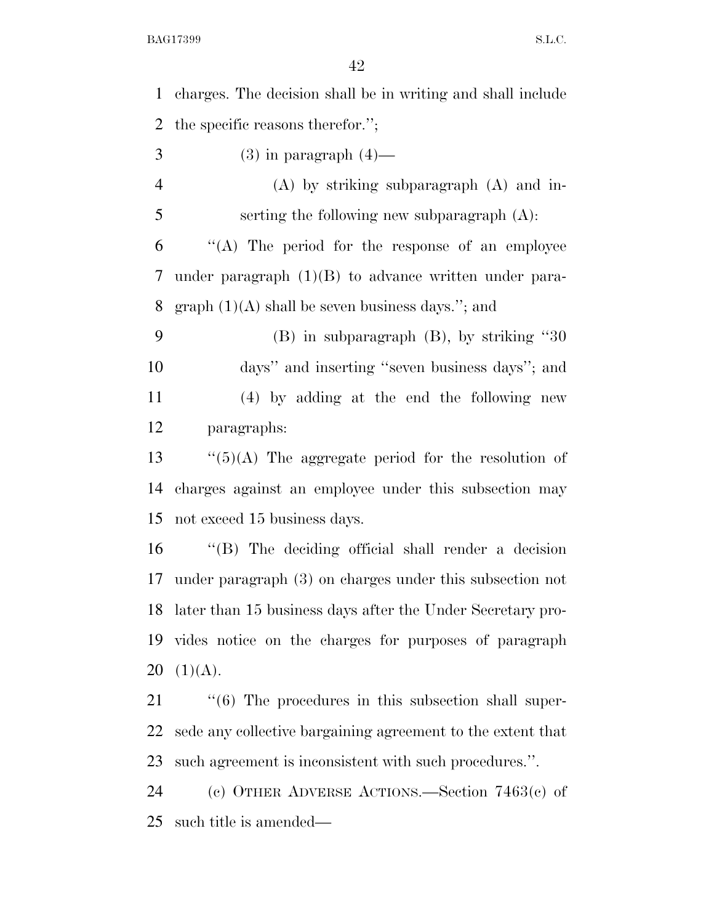| $\mathbf{1}$   | charges. The decision shall be in writing and shall include          |
|----------------|----------------------------------------------------------------------|
| $\overline{2}$ | the specific reasons therefor.";                                     |
| 3              | $(3)$ in paragraph $(4)$ —                                           |
| $\overline{4}$ | $(A)$ by striking subparagraph $(A)$ and in-                         |
| 5              | serting the following new subparagraph $(A)$ :                       |
| 6              | "(A) The period for the response of an employee                      |
| 7              | under paragraph $(1)(B)$ to advance written under para-              |
| 8              | graph $(1)(A)$ shall be seven business days."; and                   |
| 9              | $(B)$ in subparagraph $(B)$ , by striking "30                        |
| 10             | days" and inserting "seven business days"; and                       |
| 11             | $(4)$ by adding at the end the following new                         |
| 12             | paragraphs:                                                          |
| 13             | " $(5)(A)$ The aggregate period for the resolution of                |
| 14             | charges against an employee under this subsection may                |
| 15             | not exceed 15 business days.                                         |
| 16             | "(B) The deciding official shall render a decision                   |
| 17             | under paragraph $(3)$ on charges under this subsection not           |
| 18             | later than 15 business days after the Under Secretary pro-           |
| 19             | vides notice on the charges for purposes of paragraph                |
| 20             | (1)(A).                                                              |
| 21             | $\cdot\cdot\cdot$ (6) The procedures in this subsection shall super- |
| 22             | sede any collective bargaining agreement to the extent that          |
| 23             | such agreement is inconsistent with such procedures.".               |
| 24             | (c) OTHER ADVERSE ACTIONS.—Section $7463(c)$ of                      |
| 25             | such title is amended—                                               |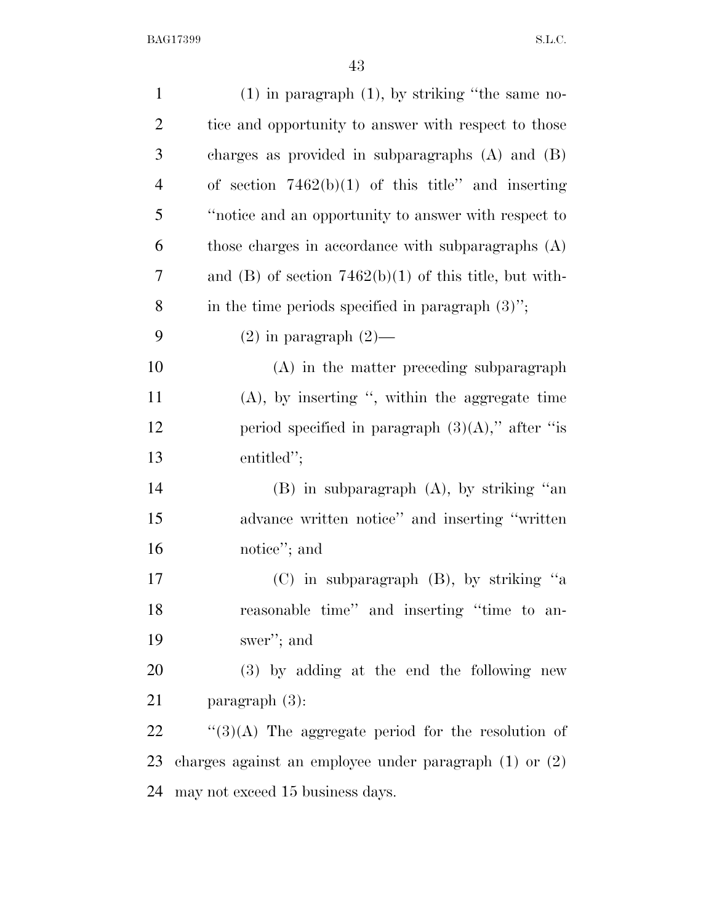| $\mathbf{1}$   | $(1)$ in paragraph $(1)$ , by striking "the same no-       |
|----------------|------------------------------------------------------------|
| $\overline{2}$ | tice and opportunity to answer with respect to those       |
| 3              | charges as provided in subparagraphs $(A)$ and $(B)$       |
| $\overline{4}$ | of section $7462(b)(1)$ of this title" and inserting       |
| 5              | "notice and an opportunity to answer with respect to       |
| 6              | those charges in accordance with subparagraphs (A)         |
| 7              | and (B) of section $7462(b)(1)$ of this title, but with-   |
| 8              | in the time periods specified in paragraph $(3)$ ";        |
| 9              | $(2)$ in paragraph $(2)$ —                                 |
| 10             | $(A)$ in the matter preceding subparagraph                 |
| 11             | $(A)$ , by inserting ", within the aggregate time          |
| 12             | period specified in paragraph $(3)(A)$ ," after "is        |
| 13             | entitled";                                                 |
| 14             | $(B)$ in subparagraph $(A)$ , by striking "an              |
| 15             | advance written notice" and inserting "written             |
| 16             | notice"; and                                               |
| 17             | $(C)$ in subparagraph $(B)$ , by striking "a               |
| 18             | reasonable time" and inserting "time to an-                |
| 19             | swer"; and                                                 |
| 20             | (3) by adding at the end the following new                 |
| 21             | paragraph $(3)$ :                                          |
| 22             | "(3)(A) The aggregate period for the resolution of         |
| 23             | charges against an employee under paragraph $(1)$ or $(2)$ |
| 24             | may not exceed 15 business days.                           |
|                |                                                            |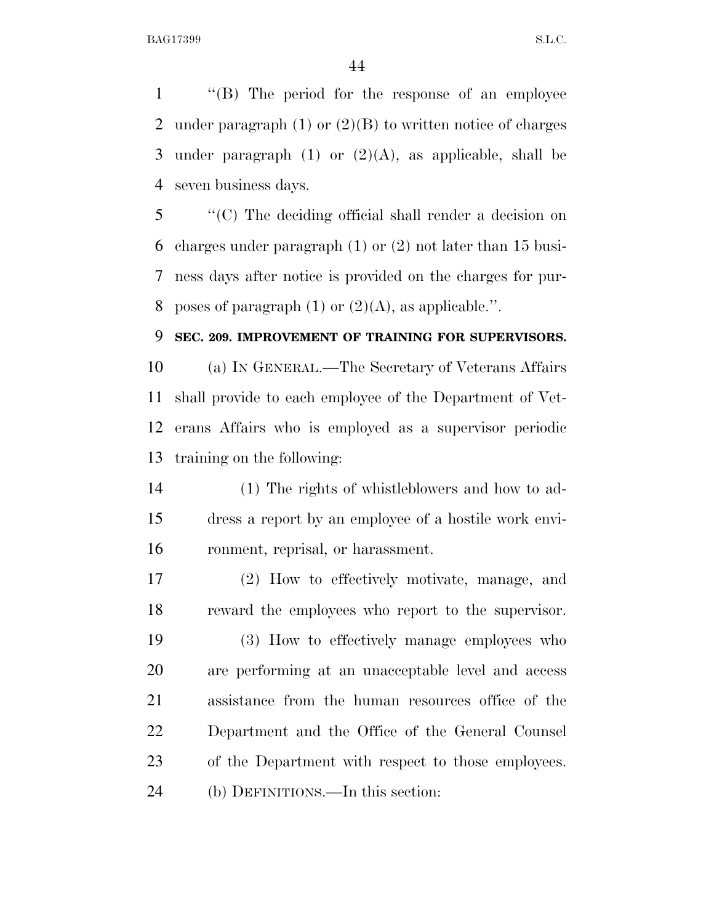''(B) The period for the response of an employee 2 under paragraph  $(1)$  or  $(2)(B)$  to written notice of charges 3 under paragraph  $(1)$  or  $(2)(A)$ , as applicable, shall be seven business days.

 ''(C) The deciding official shall render a decision on charges under paragraph (1) or (2) not later than 15 busi- ness days after notice is provided on the charges for pur-8 poses of paragraph  $(1)$  or  $(2)(A)$ , as applicable.".

#### **SEC. 209. IMPROVEMENT OF TRAINING FOR SUPERVISORS.**

 (a) IN GENERAL.—The Secretary of Veterans Affairs shall provide to each employee of the Department of Vet- erans Affairs who is employed as a supervisor periodic training on the following:

 (1) The rights of whistleblowers and how to ad- dress a report by an employee of a hostile work envi-ronment, reprisal, or harassment.

 (2) How to effectively motivate, manage, and reward the employees who report to the supervisor.

 (3) How to effectively manage employees who are performing at an unacceptable level and access assistance from the human resources office of the Department and the Office of the General Counsel of the Department with respect to those employees. (b) DEFINITIONS.—In this section: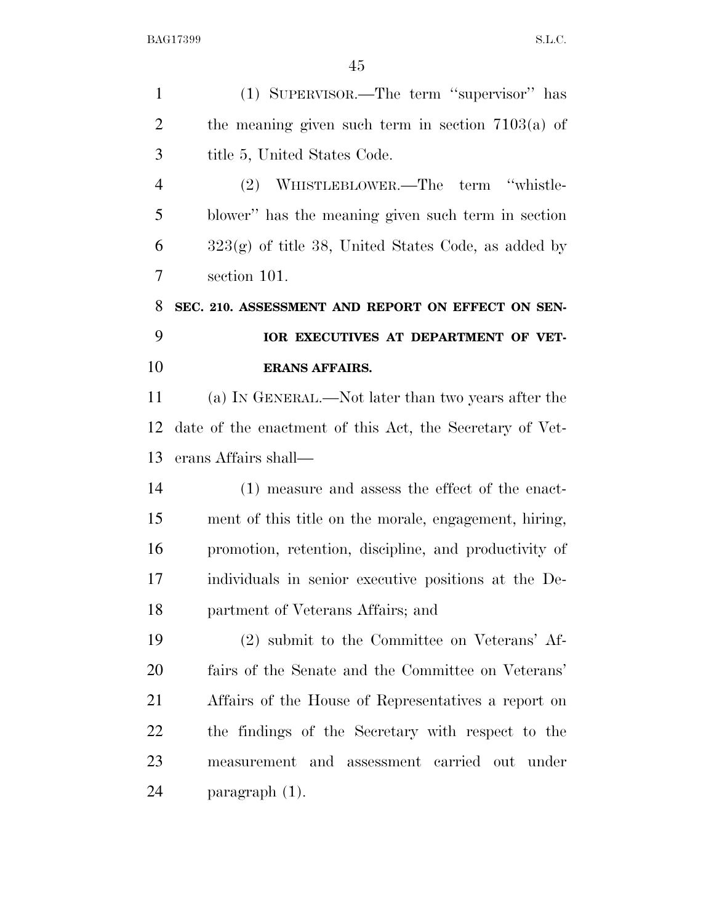| $\mathbf{1}$   | (1) SUPERVISOR.—The term "supervisor" has                |
|----------------|----------------------------------------------------------|
| $\overline{2}$ | the meaning given such term in section $7103(a)$ of      |
| 3              | title 5, United States Code.                             |
| $\overline{4}$ | WHISTLEBLOWER.—The term "whistle-<br>(2)                 |
| 5              | blower" has the meaning given such term in section       |
| 6              | $323(g)$ of title 38, United States Code, as added by    |
| 7              | section 101.                                             |
| 8              | SEC. 210. ASSESSMENT AND REPORT ON EFFECT ON SEN-        |
| 9              | IOR EXECUTIVES AT DEPARTMENT OF VET-                     |
| 10             | <b>ERANS AFFAIRS.</b>                                    |
| 11             | (a) IN GENERAL.—Not later than two years after the       |
| 12             | date of the enactment of this Act, the Secretary of Vet- |
| 13             | erans Affairs shall—                                     |
| 14             | $(1)$ measure and assess the effect of the enact-        |
| 15             | ment of this title on the morale, engagement, hiring,    |
| 16             | promotion, retention, discipline, and productivity of    |
| 17             |                                                          |
|                | individuals in senior executive positions at the De-     |
| 18             | partment of Veterans Affairs; and                        |
| 19             | (2) submit to the Committee on Veterans' Af-             |
| 20             | fairs of the Senate and the Committee on Veterans'       |
| 21             | Affairs of the House of Representatives a report on      |
| 22             | the findings of the Secretary with respect to the        |
| 23             | measurement and assessment carried out under             |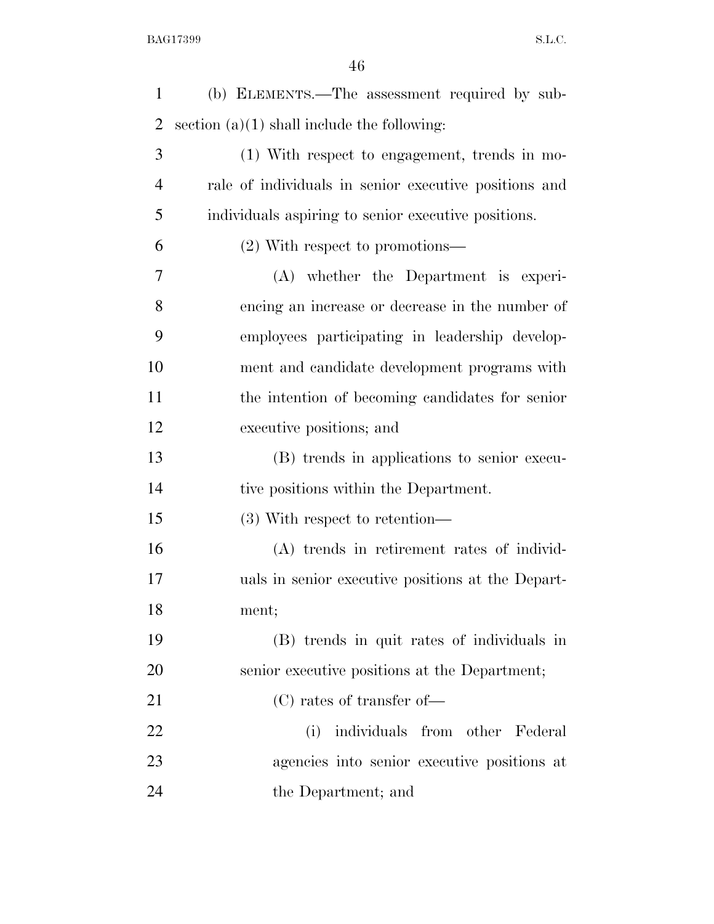| $\mathbf{1}$   | (b) ELEMENTS.—The assessment required by sub-         |
|----------------|-------------------------------------------------------|
| $\overline{2}$ | section $(a)(1)$ shall include the following:         |
| 3              | (1) With respect to engagement, trends in mo-         |
| $\overline{4}$ | rale of individuals in senior executive positions and |
| 5              | individuals aspiring to senior executive positions.   |
| 6              | $(2)$ With respect to promotions—                     |
| 7              | (A) whether the Department is experi-                 |
| 8              | encing an increase or decrease in the number of       |
| 9              | employees participating in leadership develop-        |
| 10             | ment and candidate development programs with          |
| 11             | the intention of becoming candidates for senior       |
| 12             | executive positions; and                              |
| 13             | (B) trends in applications to senior execu-           |
| 14             | tive positions within the Department.                 |
| 15             | $(3)$ With respect to retention—                      |
| 16             | (A) trends in retirement rates of individ-            |
| 17             | uals in senior executive positions at the Depart-     |
| 18             | ment;                                                 |
| 19             | (B) trends in quit rates of individuals in            |
| 20             | senior executive positions at the Department;         |
| 21             | $(C)$ rates of transfer of —                          |
| 22             | individuals from other Federal<br>(i)                 |
| 23             | agencies into senior executive positions at           |
| 24             | the Department; and                                   |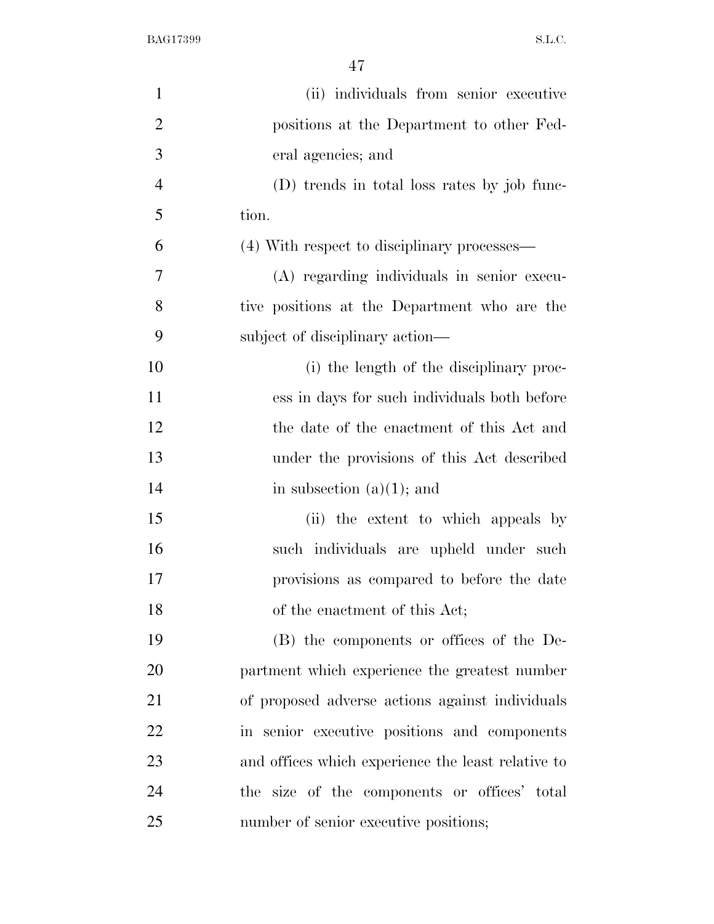| $\mathbf{1}$   | (ii) individuals from senior executive             |
|----------------|----------------------------------------------------|
| $\overline{2}$ | positions at the Department to other Fed-          |
| 3              | eral agencies; and                                 |
| $\overline{4}$ | (D) trends in total loss rates by job func-        |
| 5              | tion.                                              |
| 6              | (4) With respect to disciplinary processes—        |
| 7              | (A) regarding individuals in senior execu-         |
| 8              | tive positions at the Department who are the       |
| 9              | subject of disciplinary action—                    |
| 10             | (i) the length of the disciplinary proc-           |
| 11             | ess in days for such individuals both before       |
| 12             | the date of the enactment of this Act and          |
| 13             | under the provisions of this Act described         |
| 14             | in subsection $(a)(1)$ ; and                       |
| 15             | (ii) the extent to which appeals by                |
| 16             | such individuals are upheld under such             |
| 17             | provisions as compared to before the date          |
| 18             | of the enactment of this Act;                      |
| 19             | (B) the components or offices of the De-           |
| 20             | partment which experience the greatest number      |
| 21             | of proposed adverse actions against individuals    |
| 22             | in senior executive positions and components       |
| 23             | and offices which experience the least relative to |
| 24             | the size of the components or offices' total       |
| 25             | number of senior executive positions;              |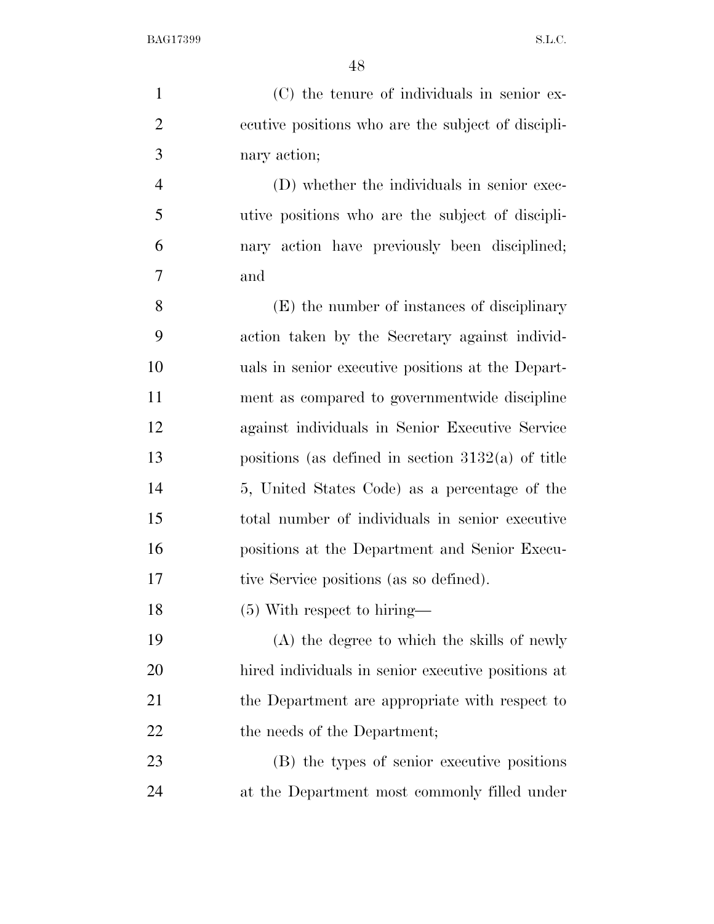(C) the tenure of individuals in senior ex- ecutive positions who are the subject of discipli-nary action;

 (D) whether the individuals in senior exec- utive positions who are the subject of discipli- nary action have previously been disciplined; and

 (E) the number of instances of disciplinary action taken by the Secretary against individ- uals in senior executive positions at the Depart- ment as compared to governmentwide discipline against individuals in Senior Executive Service positions (as defined in section 3132(a) of title 5, United States Code) as a percentage of the total number of individuals in senior executive positions at the Department and Senior Execu-tive Service positions (as so defined).

(5) With respect to hiring—

 (A) the degree to which the skills of newly hired individuals in senior executive positions at 21 the Department are appropriate with respect to 22 the needs of the Department;

 (B) the types of senior executive positions at the Department most commonly filled under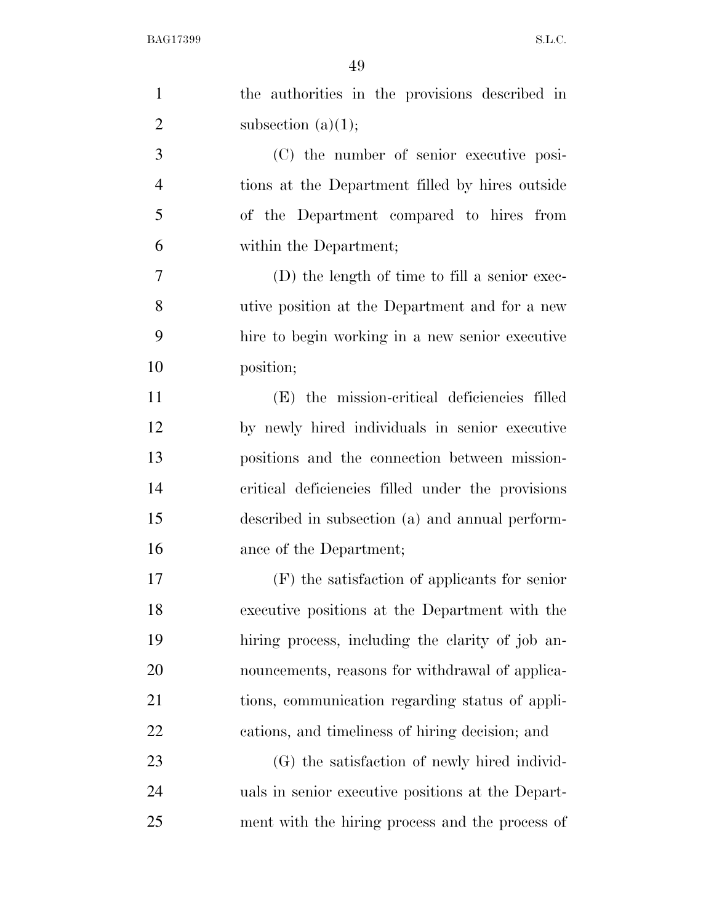| $\mathbf{1}$   | the authorities in the provisions described in    |
|----------------|---------------------------------------------------|
| $\overline{2}$ | subsection $(a)(1);$                              |
| 3              | (C) the number of senior executive posi-          |
| $\overline{4}$ | tions at the Department filled by hires outside   |
| 5              | of the Department compared to hires from          |
| 6              | within the Department;                            |
| 7              | (D) the length of time to fill a senior exec-     |
| 8              | utive position at the Department and for a new    |
| 9              | hire to begin working in a new senior executive   |
| 10             | position;                                         |
| 11             | (E) the mission-critical deficiencies filled      |
| 12             | by newly hired individuals in senior executive    |
| 13             | positions and the connection between mission-     |
| 14             | critical deficiencies filled under the provisions |
| 15             | described in subsection (a) and annual perform-   |
| 16             | ance of the Department;                           |
| 17             | $(F)$ the satisfaction of applicants for senior   |
| 18             | executive positions at the Department with the    |
| 19             | hiring process, including the clarity of job an-  |
| 20             | nouncements, reasons for withdrawal of applica-   |
| 21             | tions, communication regarding status of appli-   |
| 22             | cations, and timeliness of hiring decision; and   |
| 23             | (G) the satisfaction of newly hired individ-      |
| 24             | uals in senior executive positions at the Depart- |
| 25             | ment with the hiring process and the process of   |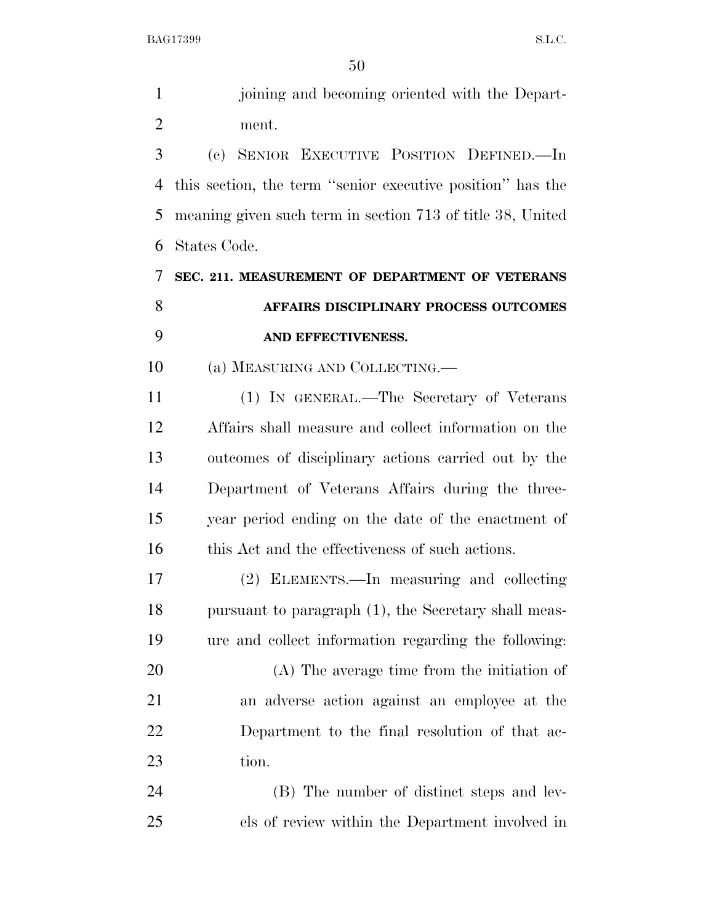| $\mathbf{1}$   | joining and becoming oriented with the Depart-             |
|----------------|------------------------------------------------------------|
| $\overline{2}$ | ment.                                                      |
| 3              | (c) SENIOR EXECUTIVE POSITION DEFINED.—In                  |
| 4              | this section, the term "senior executive position" has the |
| 5              | meaning given such term in section 713 of title 38, United |
| 6              | States Code.                                               |
| 7              | SEC. 211. MEASUREMENT OF DEPARTMENT OF VETERANS            |
| 8              | AFFAIRS DISCIPLINARY PROCESS OUTCOMES                      |
| 9              | AND EFFECTIVENESS.                                         |
| 10             | (a) MEASURING AND COLLECTING.—                             |
| 11             | (1) IN GENERAL.—The Secretary of Veterans                  |
| 12             | Affairs shall measure and collect information on the       |
| 13             | outcomes of disciplinary actions carried out by the        |
| 14             | Department of Veterans Affairs during the three-           |
| 15             | year period ending on the date of the enactment of         |
| 16             | this Act and the effectiveness of such actions.            |
| 17             | (2) ELEMENTS.—In measuring and collecting                  |
| 18             | pursuant to paragraph (1), the Secretary shall meas-       |
| 19             | ure and collect information regarding the following:       |
| 20             | $(A)$ The average time from the initiation of              |
| 21             | an adverse action against an employee at the               |
| 22             | Department to the final resolution of that ac-             |
| 23             | tion.                                                      |
| 24             | (B) The number of distinct steps and lev-                  |
| 25             | els of review within the Department involved in            |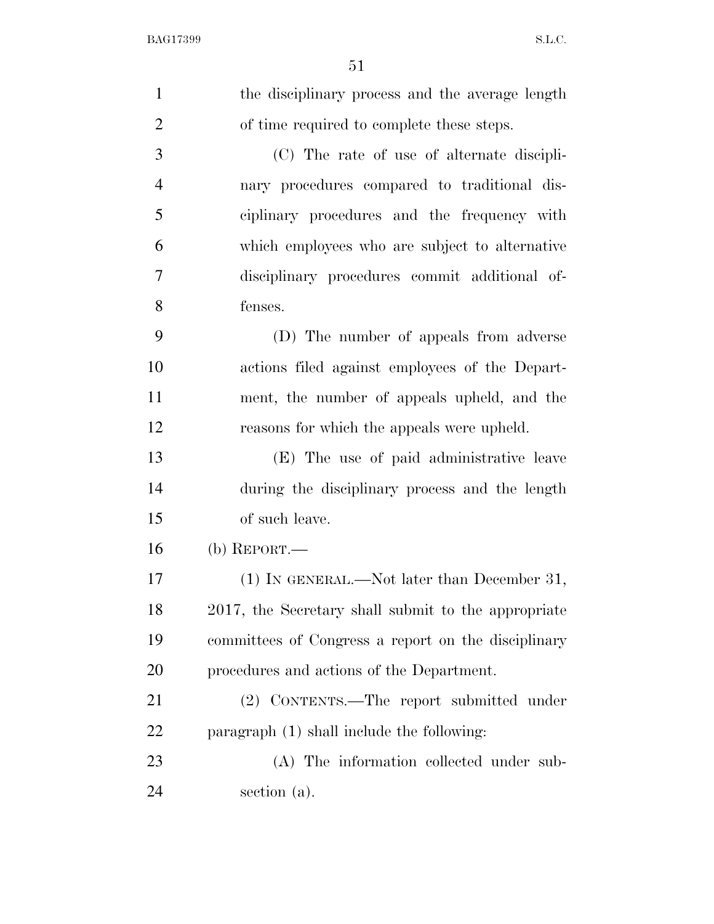| $\mathbf{1}$   | the disciplinary process and the average length     |
|----------------|-----------------------------------------------------|
| $\overline{2}$ | of time required to complete these steps.           |
| 3              | (C) The rate of use of alternate discipli-          |
| $\overline{4}$ | nary procedures compared to traditional dis-        |
| 5              | ciplinary procedures and the frequency with         |
| 6              | which employees who are subject to alternative      |
| 7              | disciplinary procedures commit additional of-       |
| 8              | fenses.                                             |
| 9              | (D) The number of appeals from adverse              |
| 10             | actions filed against employees of the Depart-      |
| 11             | ment, the number of appeals upheld, and the         |
| 12             | reasons for which the appeals were upheld.          |
| 13             | (E) The use of paid administrative leave            |
| 14             | during the disciplinary process and the length      |
| 15             | of such leave.                                      |
| 16             | (b) $REPORT.$ —                                     |
| 17             | (1) IN GENERAL.—Not later than December 31,         |
| 18             | 2017, the Secretary shall submit to the appropriate |
| 19             | committees of Congress a report on the disciplinary |
| 20             | procedures and actions of the Department.           |
| 21             | (2) CONTENTS.—The report submitted under            |
| 22             | paragraph (1) shall include the following:          |
| 23             | (A) The information collected under sub-            |
| 24             | section (a).                                        |